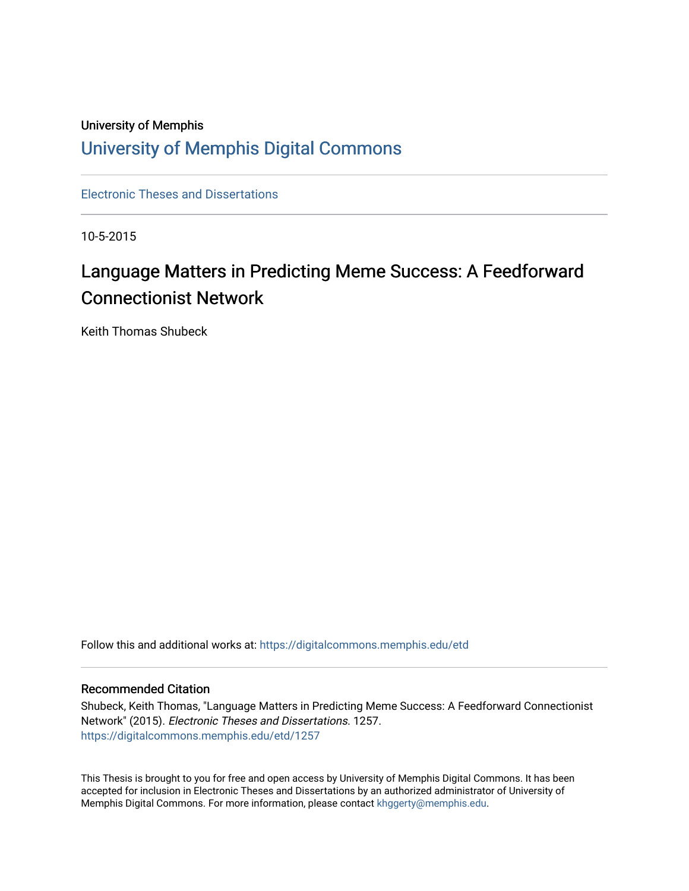## University of Memphis [University of Memphis Digital Commons](https://digitalcommons.memphis.edu/)

[Electronic Theses and Dissertations](https://digitalcommons.memphis.edu/etd)

10-5-2015

# Language Matters in Predicting Meme Success: A Feedforward Connectionist Network

Keith Thomas Shubeck

Follow this and additional works at: [https://digitalcommons.memphis.edu/etd](https://digitalcommons.memphis.edu/etd?utm_source=digitalcommons.memphis.edu%2Fetd%2F1257&utm_medium=PDF&utm_campaign=PDFCoverPages) 

## Recommended Citation

Shubeck, Keith Thomas, "Language Matters in Predicting Meme Success: A Feedforward Connectionist Network" (2015). Electronic Theses and Dissertations. 1257. [https://digitalcommons.memphis.edu/etd/1257](https://digitalcommons.memphis.edu/etd/1257?utm_source=digitalcommons.memphis.edu%2Fetd%2F1257&utm_medium=PDF&utm_campaign=PDFCoverPages) 

This Thesis is brought to you for free and open access by University of Memphis Digital Commons. It has been accepted for inclusion in Electronic Theses and Dissertations by an authorized administrator of University of Memphis Digital Commons. For more information, please contact [khggerty@memphis.edu.](mailto:khggerty@memphis.edu)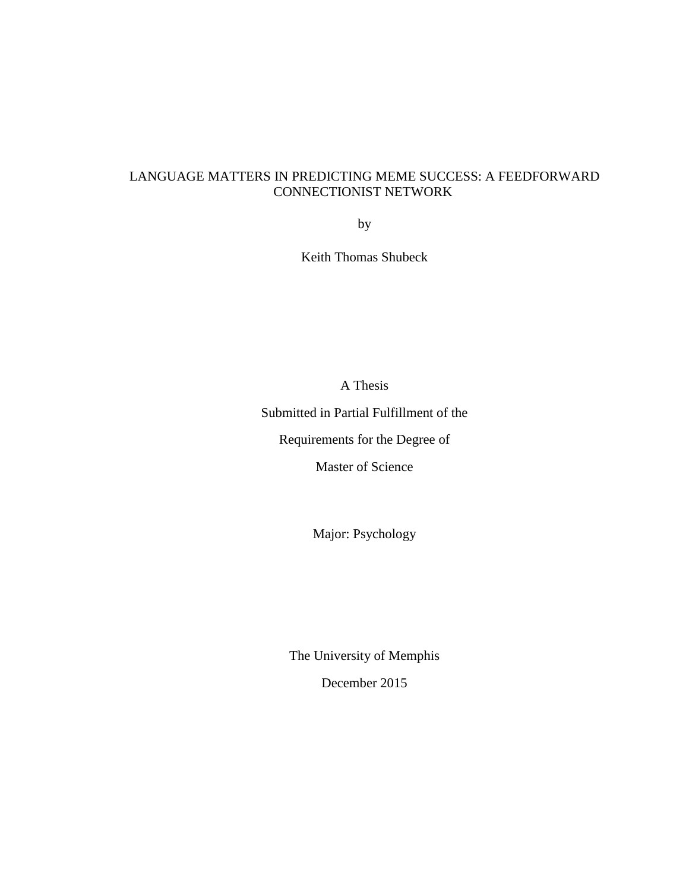## LANGUAGE MATTERS IN PREDICTING MEME SUCCESS: A FEEDFORWARD CONNECTIONIST NETWORK

by

Keith Thomas Shubeck

A Thesis

Submitted in Partial Fulfillment of the

Requirements for the Degree of

Master of Science

Major: Psychology

The University of Memphis

December 2015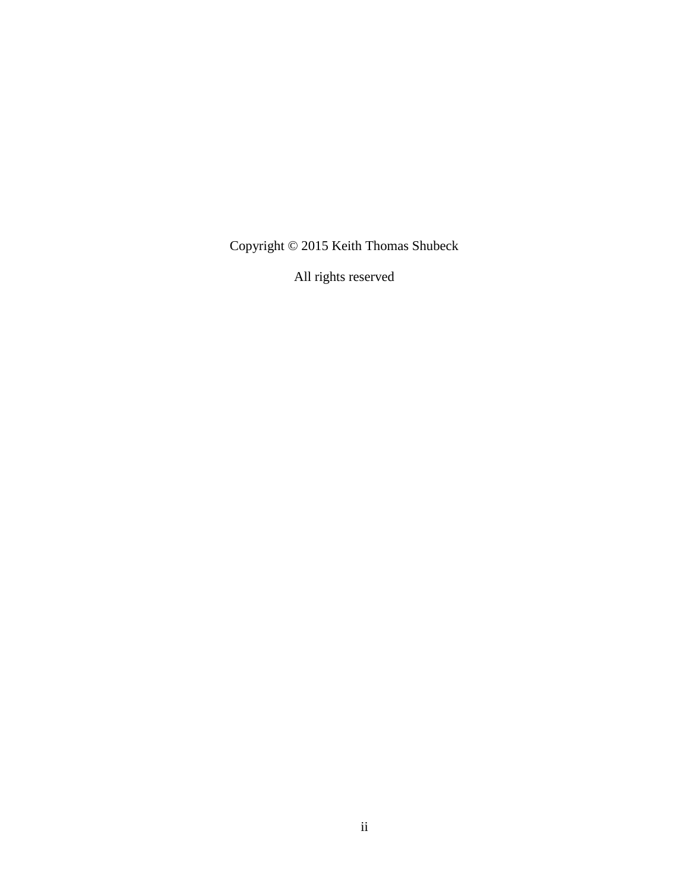Copyright © 2015 Keith Thomas Shubeck

All rights reserved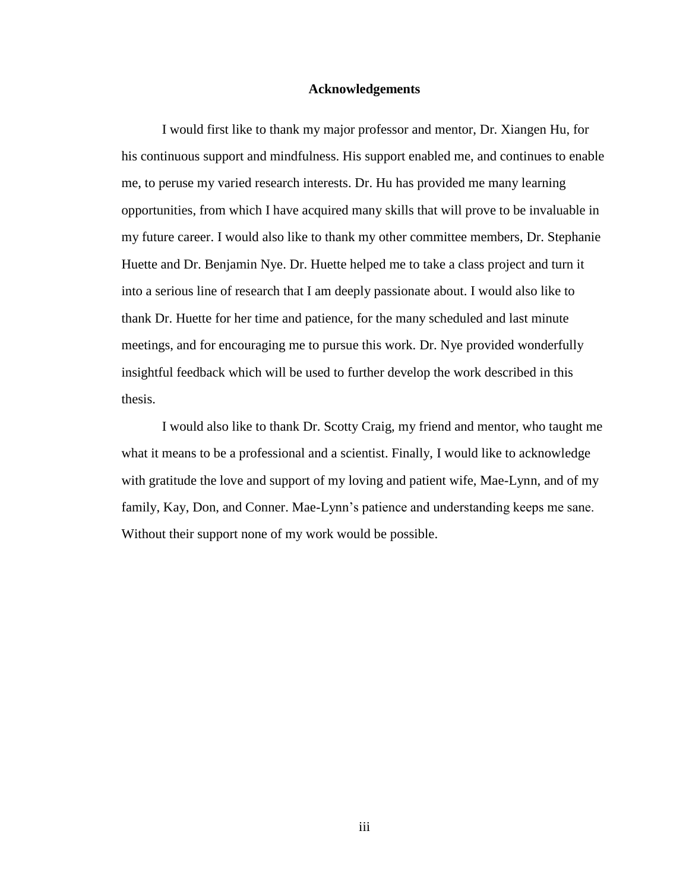### **Acknowledgements**

I would first like to thank my major professor and mentor, Dr. Xiangen Hu, for his continuous support and mindfulness. His support enabled me, and continues to enable me, to peruse my varied research interests. Dr. Hu has provided me many learning opportunities, from which I have acquired many skills that will prove to be invaluable in my future career. I would also like to thank my other committee members, Dr. Stephanie Huette and Dr. Benjamin Nye. Dr. Huette helped me to take a class project and turn it into a serious line of research that I am deeply passionate about. I would also like to thank Dr. Huette for her time and patience, for the many scheduled and last minute meetings, and for encouraging me to pursue this work. Dr. Nye provided wonderfully insightful feedback which will be used to further develop the work described in this thesis.

I would also like to thank Dr. Scotty Craig, my friend and mentor, who taught me what it means to be a professional and a scientist. Finally, I would like to acknowledge with gratitude the love and support of my loving and patient wife, Mae-Lynn, and of my family, Kay, Don, and Conner. Mae-Lynn's patience and understanding keeps me sane. Without their support none of my work would be possible.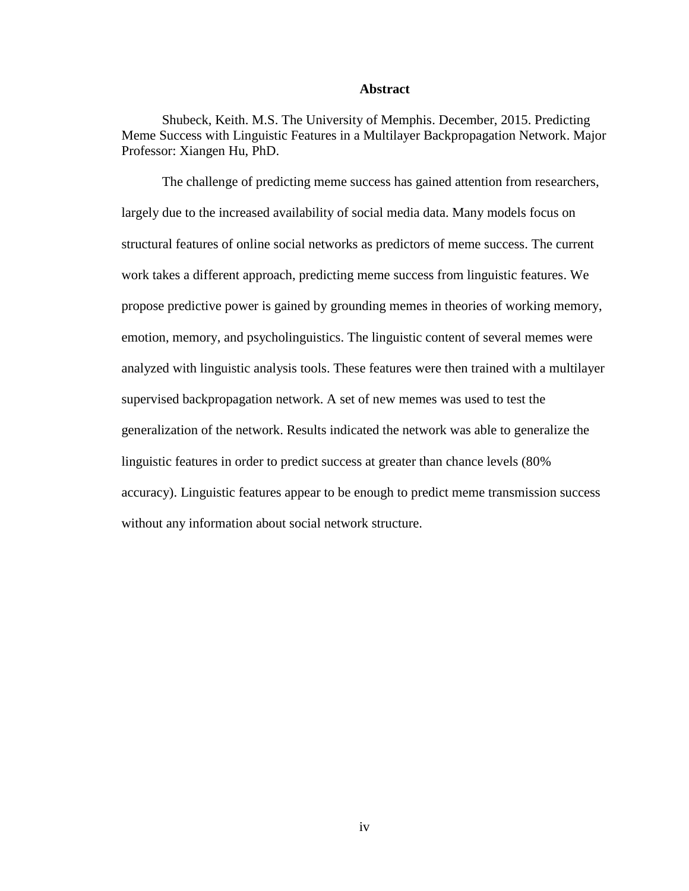### **Abstract**

Shubeck, Keith. M.S. The University of Memphis. December, 2015. Predicting Meme Success with Linguistic Features in a Multilayer Backpropagation Network. Major Professor: Xiangen Hu, PhD.

The challenge of predicting meme success has gained attention from researchers, largely due to the increased availability of social media data. Many models focus on structural features of online social networks as predictors of meme success. The current work takes a different approach, predicting meme success from linguistic features. We propose predictive power is gained by grounding memes in theories of working memory, emotion, memory, and psycholinguistics. The linguistic content of several memes were analyzed with linguistic analysis tools. These features were then trained with a multilayer supervised backpropagation network. A set of new memes was used to test the generalization of the network. Results indicated the network was able to generalize the linguistic features in order to predict success at greater than chance levels (80% accuracy). Linguistic features appear to be enough to predict meme transmission success without any information about social network structure.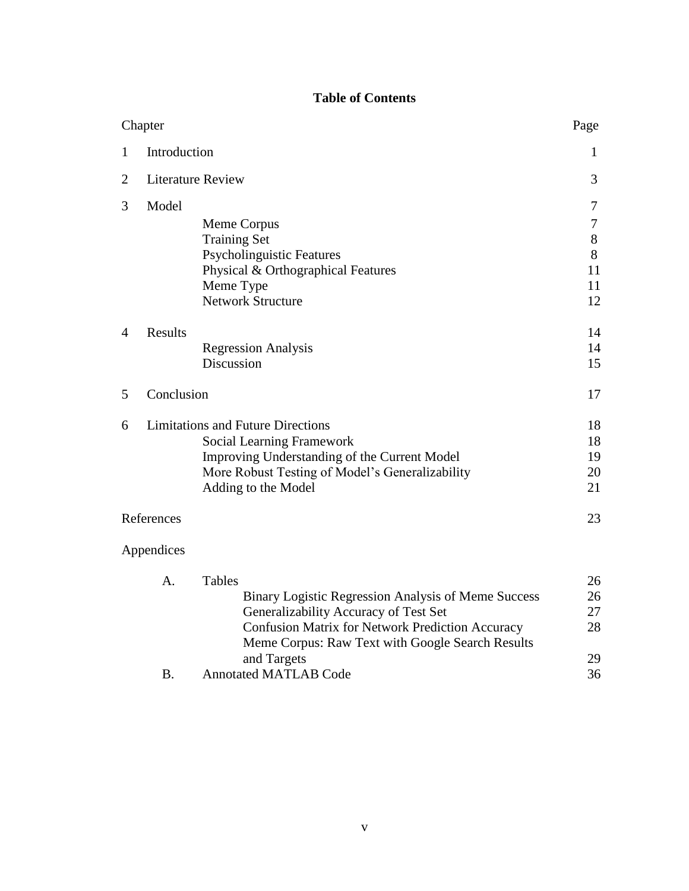## **Table of Contents**

|   | Chapter      |                                                         | Page   |
|---|--------------|---------------------------------------------------------|--------|
| 1 | Introduction |                                                         | 1      |
| 2 |              | <b>Literature Review</b>                                | 3      |
| 3 | Model        |                                                         | 7      |
|   |              | Meme Corpus                                             | $\tau$ |
|   |              | <b>Training Set</b>                                     | $8\,$  |
|   |              | <b>Psycholinguistic Features</b>                        | 8      |
|   |              | Physical & Orthographical Features                      | 11     |
|   |              | Meme Type                                               | 11     |
|   |              | <b>Network Structure</b>                                | 12     |
| 4 | Results      |                                                         | 14     |
|   |              | <b>Regression Analysis</b>                              | 14     |
|   |              | Discussion                                              | 15     |
| 5 | Conclusion   |                                                         | 17     |
| 6 |              | <b>Limitations and Future Directions</b>                | 18     |
|   |              | <b>Social Learning Framework</b>                        | 18     |
|   |              | Improving Understanding of the Current Model            | 19     |
|   |              | More Robust Testing of Model's Generalizability         | 20     |
|   |              | Adding to the Model                                     | 21     |
|   | References   |                                                         | 23     |
|   | Appendices   |                                                         |        |
|   | A.           | <b>Tables</b>                                           | 26     |
|   |              | Binary Logistic Regression Analysis of Meme Success     | 26     |
|   |              | Generalizability Accuracy of Test Set                   | 27     |
|   |              | <b>Confusion Matrix for Network Prediction Accuracy</b> | 28     |
|   |              | Meme Corpus: Raw Text with Google Search Results        |        |
|   |              | and Targets                                             | 29     |
|   | <b>B.</b>    | <b>Annotated MATLAB Code</b>                            | 36     |
|   |              |                                                         |        |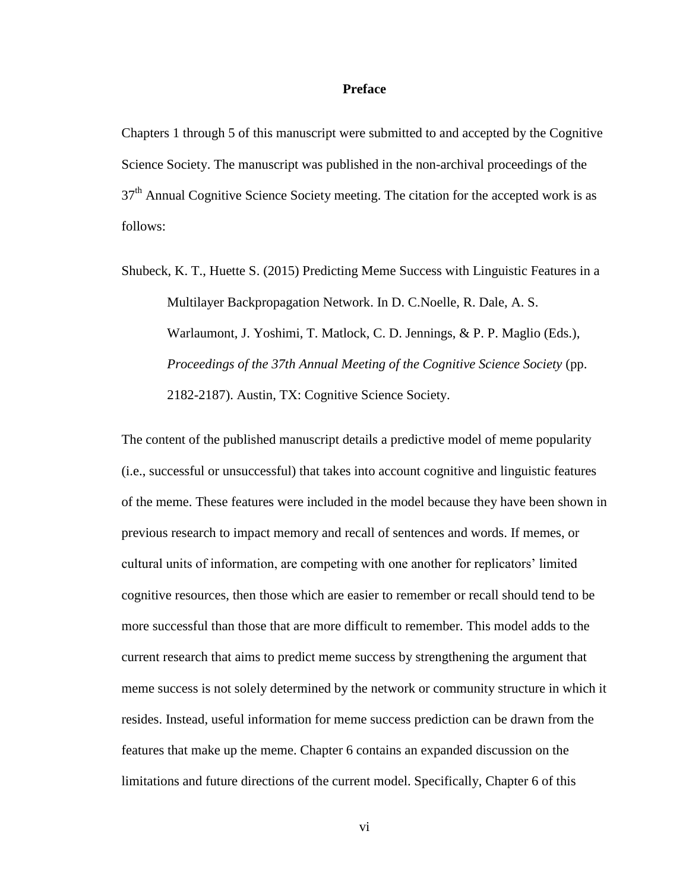### **Preface**

Chapters 1 through 5 of this manuscript were submitted to and accepted by the Cognitive Science Society. The manuscript was published in the non-archival proceedings of the  $37<sup>th</sup>$  Annual Cognitive Science Society meeting. The citation for the accepted work is as follows:

Shubeck, K. T., Huette S. (2015) Predicting Meme Success with Linguistic Features in a Multilayer Backpropagation Network. In D. C.Noelle, R. Dale, A. S. Warlaumont, J. Yoshimi, T. Matlock, C. D. Jennings, & P. P. Maglio (Eds.), *Proceedings of the 37th Annual Meeting of the Cognitive Science Society* (pp. 2182-2187). Austin, TX: Cognitive Science Society.

The content of the published manuscript details a predictive model of meme popularity (i.e., successful or unsuccessful) that takes into account cognitive and linguistic features of the meme. These features were included in the model because they have been shown in previous research to impact memory and recall of sentences and words. If memes, or cultural units of information, are competing with one another for replicators' limited cognitive resources, then those which are easier to remember or recall should tend to be more successful than those that are more difficult to remember. This model adds to the current research that aims to predict meme success by strengthening the argument that meme success is not solely determined by the network or community structure in which it resides. Instead, useful information for meme success prediction can be drawn from the features that make up the meme. Chapter 6 contains an expanded discussion on the limitations and future directions of the current model. Specifically, Chapter 6 of this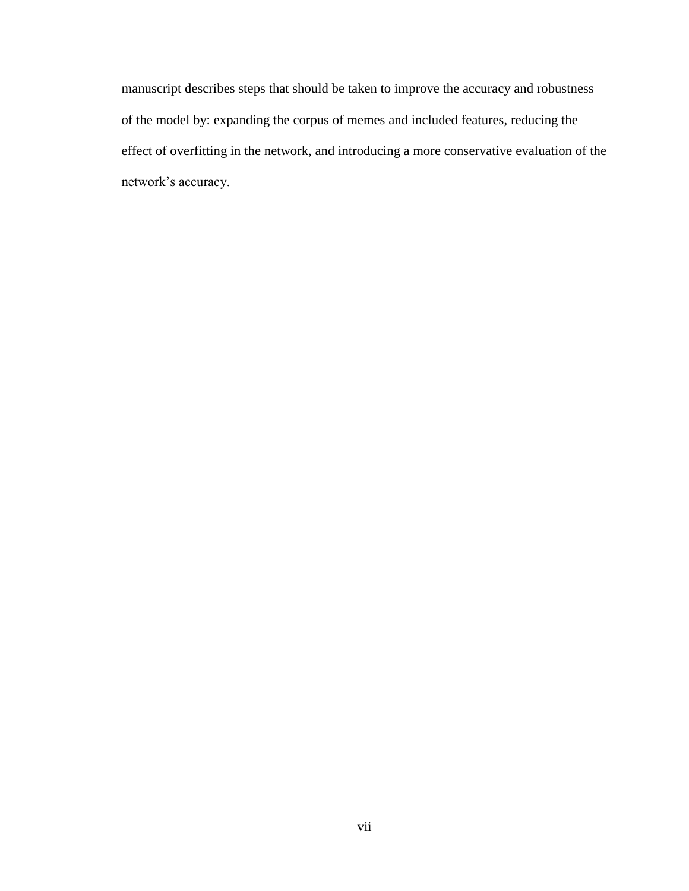manuscript describes steps that should be taken to improve the accuracy and robustness of the model by: expanding the corpus of memes and included features, reducing the effect of overfitting in the network, and introducing a more conservative evaluation of the network's accuracy.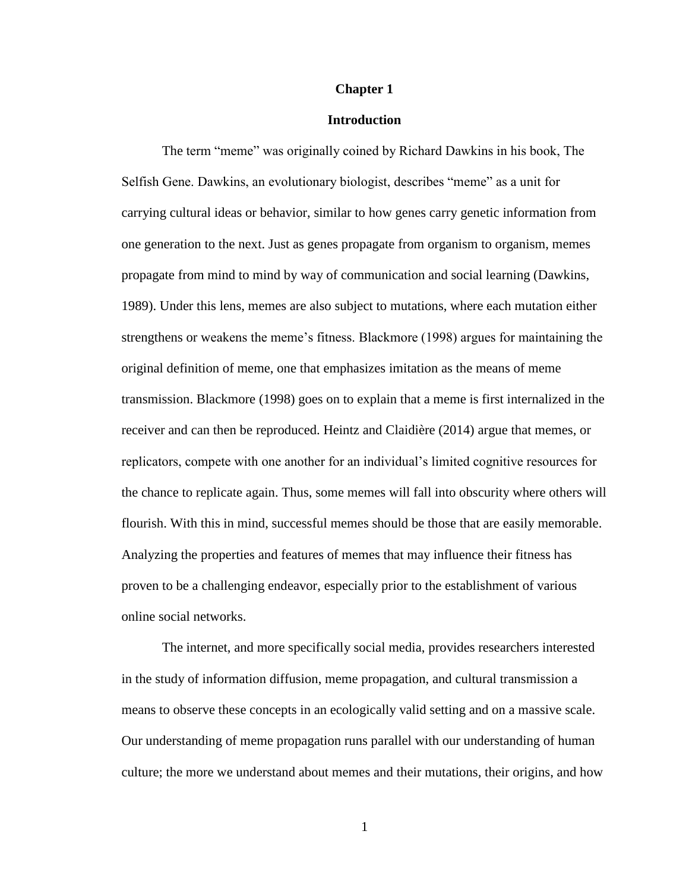#### **Chapter 1**

### **Introduction**

The term "meme" was originally coined by Richard Dawkins in his book, The Selfish Gene. Dawkins, an evolutionary biologist, describes "meme" as a unit for carrying cultural ideas or behavior, similar to how genes carry genetic information from one generation to the next. Just as genes propagate from organism to organism, memes propagate from mind to mind by way of communication and social learning (Dawkins, 1989). Under this lens, memes are also subject to mutations, where each mutation either strengthens or weakens the meme's fitness. Blackmore (1998) argues for maintaining the original definition of meme, one that emphasizes imitation as the means of meme transmission. Blackmore (1998) goes on to explain that a meme is first internalized in the receiver and can then be reproduced. Heintz and Claidière (2014) argue that memes, or replicators, compete with one another for an individual's limited cognitive resources for the chance to replicate again. Thus, some memes will fall into obscurity where others will flourish. With this in mind, successful memes should be those that are easily memorable. Analyzing the properties and features of memes that may influence their fitness has proven to be a challenging endeavor, especially prior to the establishment of various online social networks.

The internet, and more specifically social media, provides researchers interested in the study of information diffusion, meme propagation, and cultural transmission a means to observe these concepts in an ecologically valid setting and on a massive scale. Our understanding of meme propagation runs parallel with our understanding of human culture; the more we understand about memes and their mutations, their origins, and how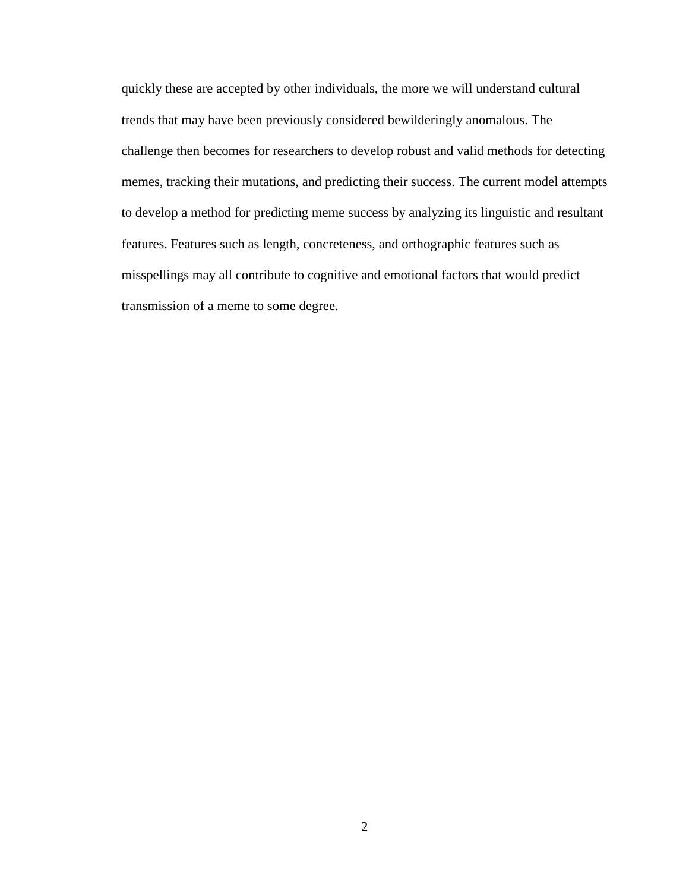quickly these are accepted by other individuals, the more we will understand cultural trends that may have been previously considered bewilderingly anomalous. The challenge then becomes for researchers to develop robust and valid methods for detecting memes, tracking their mutations, and predicting their success. The current model attempts to develop a method for predicting meme success by analyzing its linguistic and resultant features. Features such as length, concreteness, and orthographic features such as misspellings may all contribute to cognitive and emotional factors that would predict transmission of a meme to some degree.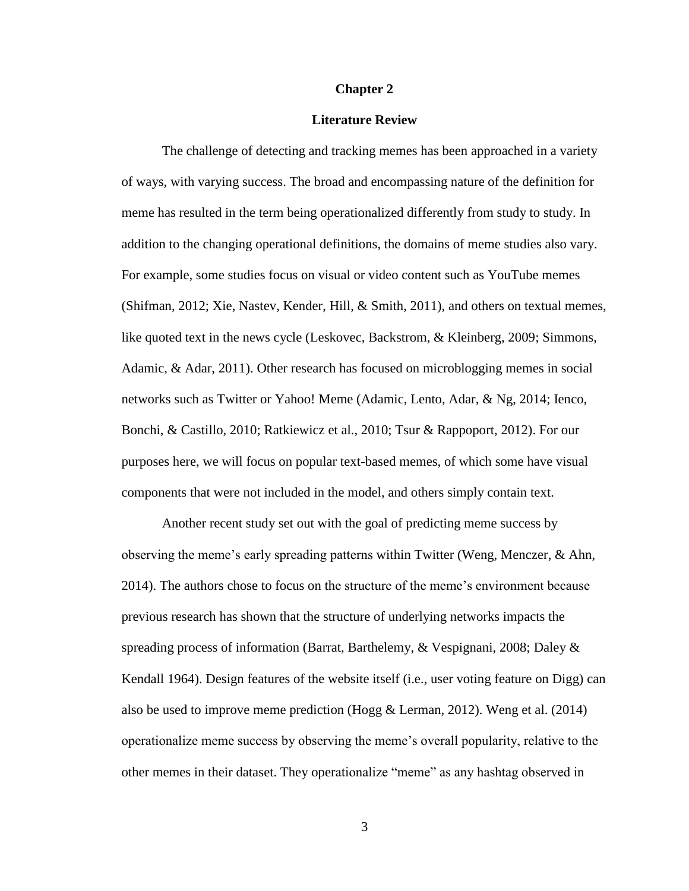#### **Chapter 2**

### **Literature Review**

The challenge of detecting and tracking memes has been approached in a variety of ways, with varying success. The broad and encompassing nature of the definition for meme has resulted in the term being operationalized differently from study to study. In addition to the changing operational definitions, the domains of meme studies also vary. For example, some studies focus on visual or video content such as YouTube memes (Shifman, 2012; Xie, Nastev, Kender, Hill, & Smith, 2011), and others on textual memes, like quoted text in the news cycle (Leskovec, Backstrom, & Kleinberg, 2009; Simmons, Adamic, & Adar, 2011). Other research has focused on microblogging memes in social networks such as Twitter or Yahoo! Meme (Adamic, Lento, Adar, & Ng, 2014; Ienco, Bonchi, & Castillo, 2010; Ratkiewicz et al., 2010; Tsur & Rappoport, 2012). For our purposes here, we will focus on popular text-based memes, of which some have visual components that were not included in the model, and others simply contain text.

Another recent study set out with the goal of predicting meme success by observing the meme's early spreading patterns within Twitter (Weng, Menczer, & Ahn, 2014). The authors chose to focus on the structure of the meme's environment because previous research has shown that the structure of underlying networks impacts the spreading process of information (Barrat, Barthelemy, & Vespignani, 2008; Daley & Kendall 1964). Design features of the website itself (i.e., user voting feature on Digg) can also be used to improve meme prediction (Hogg & Lerman, 2012). Weng et al. (2014) operationalize meme success by observing the meme's overall popularity, relative to the other memes in their dataset. They operationalize "meme" as any hashtag observed in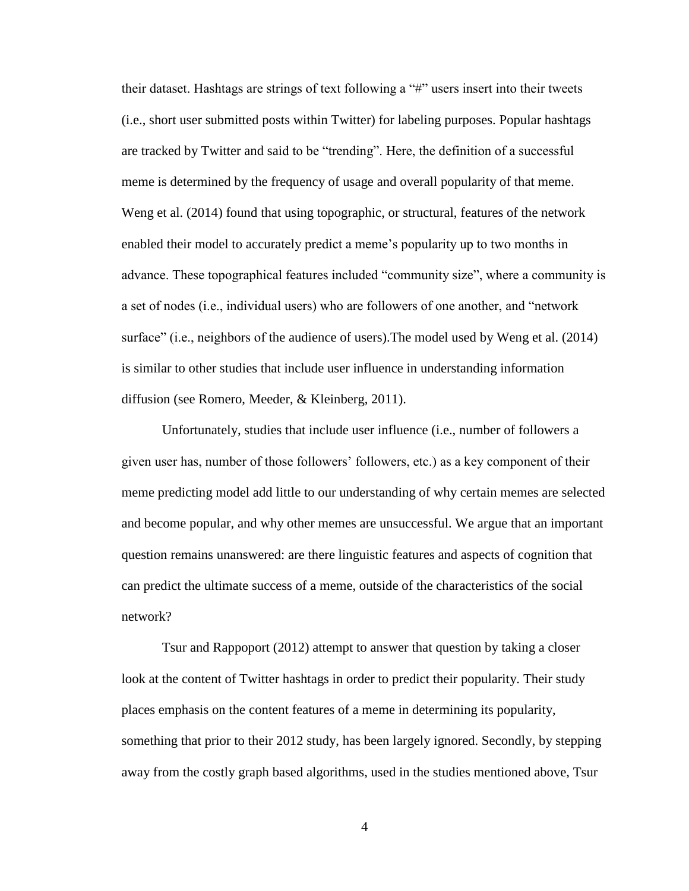their dataset. Hashtags are strings of text following a "#" users insert into their tweets (i.e., short user submitted posts within Twitter) for labeling purposes. Popular hashtags are tracked by Twitter and said to be "trending". Here, the definition of a successful meme is determined by the frequency of usage and overall popularity of that meme. Weng et al. (2014) found that using topographic, or structural, features of the network enabled their model to accurately predict a meme's popularity up to two months in advance. These topographical features included "community size", where a community is a set of nodes (i.e., individual users) who are followers of one another, and "network surface" (i.e., neighbors of the audience of users).The model used by Weng et al. (2014) is similar to other studies that include user influence in understanding information diffusion (see Romero, Meeder, & Kleinberg, 2011).

Unfortunately, studies that include user influence (i.e., number of followers a given user has, number of those followers' followers, etc.) as a key component of their meme predicting model add little to our understanding of why certain memes are selected and become popular, and why other memes are unsuccessful. We argue that an important question remains unanswered: are there linguistic features and aspects of cognition that can predict the ultimate success of a meme, outside of the characteristics of the social network?

Tsur and Rappoport (2012) attempt to answer that question by taking a closer look at the content of Twitter hashtags in order to predict their popularity. Their study places emphasis on the content features of a meme in determining its popularity, something that prior to their 2012 study, has been largely ignored. Secondly, by stepping away from the costly graph based algorithms, used in the studies mentioned above, Tsur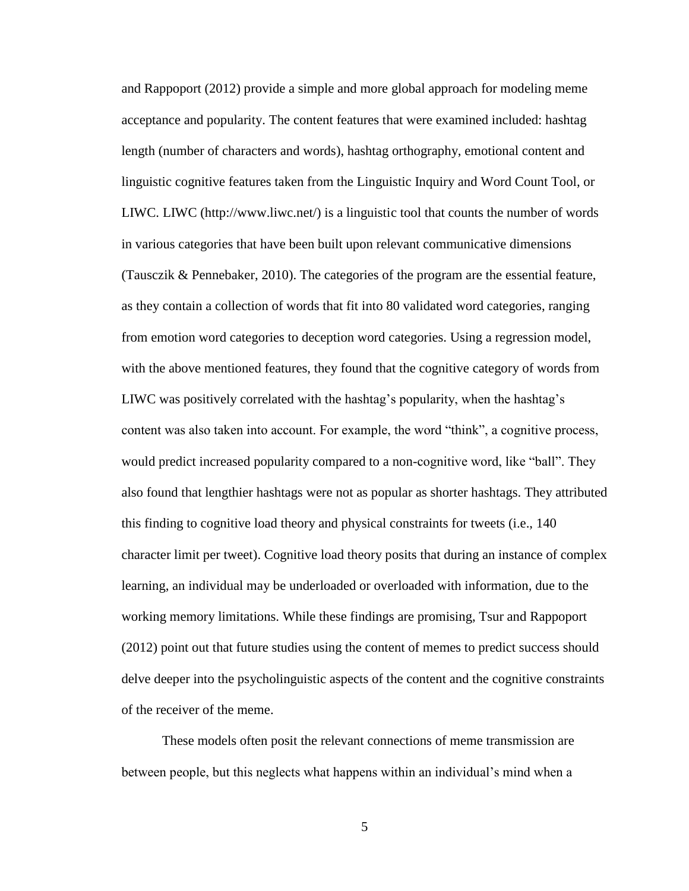and Rappoport (2012) provide a simple and more global approach for modeling meme acceptance and popularity. The content features that were examined included: hashtag length (number of characters and words), hashtag orthography, emotional content and linguistic cognitive features taken from the Linguistic Inquiry and Word Count Tool, or LIWC. LIWC (http://www.liwc.net/) is a linguistic tool that counts the number of words in various categories that have been built upon relevant communicative dimensions (Tausczik & Pennebaker, 2010). The categories of the program are the essential feature, as they contain a collection of words that fit into 80 validated word categories, ranging from emotion word categories to deception word categories. Using a regression model, with the above mentioned features, they found that the cognitive category of words from LIWC was positively correlated with the hashtag's popularity, when the hashtag's content was also taken into account. For example, the word "think", a cognitive process, would predict increased popularity compared to a non-cognitive word, like "ball". They also found that lengthier hashtags were not as popular as shorter hashtags. They attributed this finding to cognitive load theory and physical constraints for tweets (i.e., 140 character limit per tweet). Cognitive load theory posits that during an instance of complex learning, an individual may be underloaded or overloaded with information, due to the working memory limitations. While these findings are promising, Tsur and Rappoport (2012) point out that future studies using the content of memes to predict success should delve deeper into the psycholinguistic aspects of the content and the cognitive constraints of the receiver of the meme.

These models often posit the relevant connections of meme transmission are between people, but this neglects what happens within an individual's mind when a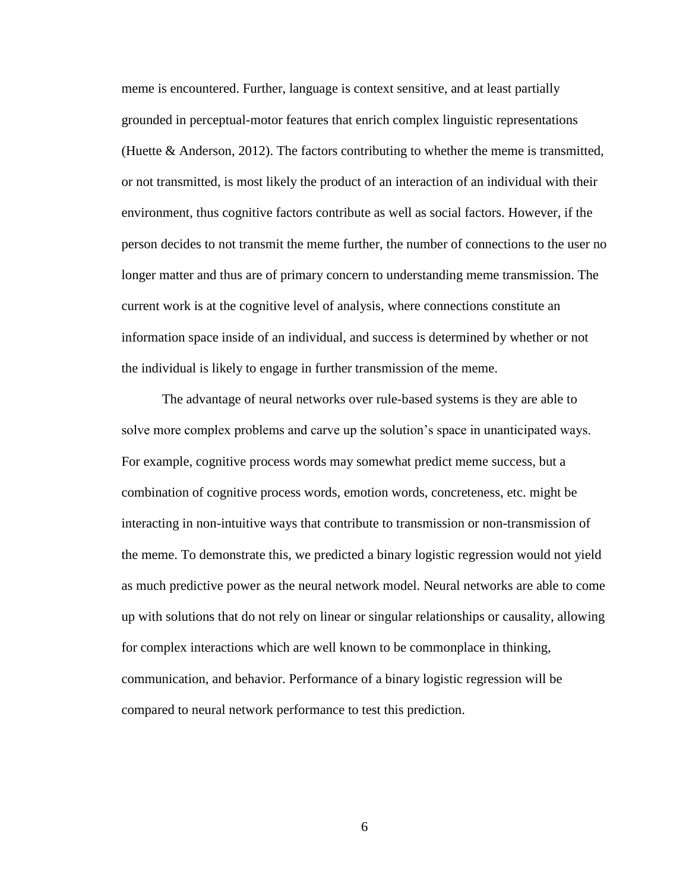meme is encountered. Further, language is context sensitive, and at least partially grounded in perceptual-motor features that enrich complex linguistic representations (Huette  $\&$  Anderson, 2012). The factors contributing to whether the meme is transmitted, or not transmitted, is most likely the product of an interaction of an individual with their environment, thus cognitive factors contribute as well as social factors. However, if the person decides to not transmit the meme further, the number of connections to the user no longer matter and thus are of primary concern to understanding meme transmission. The current work is at the cognitive level of analysis, where connections constitute an information space inside of an individual, and success is determined by whether or not the individual is likely to engage in further transmission of the meme.

The advantage of neural networks over rule-based systems is they are able to solve more complex problems and carve up the solution's space in unanticipated ways. For example, cognitive process words may somewhat predict meme success, but a combination of cognitive process words, emotion words, concreteness, etc. might be interacting in non-intuitive ways that contribute to transmission or non-transmission of the meme. To demonstrate this, we predicted a binary logistic regression would not yield as much predictive power as the neural network model. Neural networks are able to come up with solutions that do not rely on linear or singular relationships or causality, allowing for complex interactions which are well known to be commonplace in thinking, communication, and behavior. Performance of a binary logistic regression will be compared to neural network performance to test this prediction.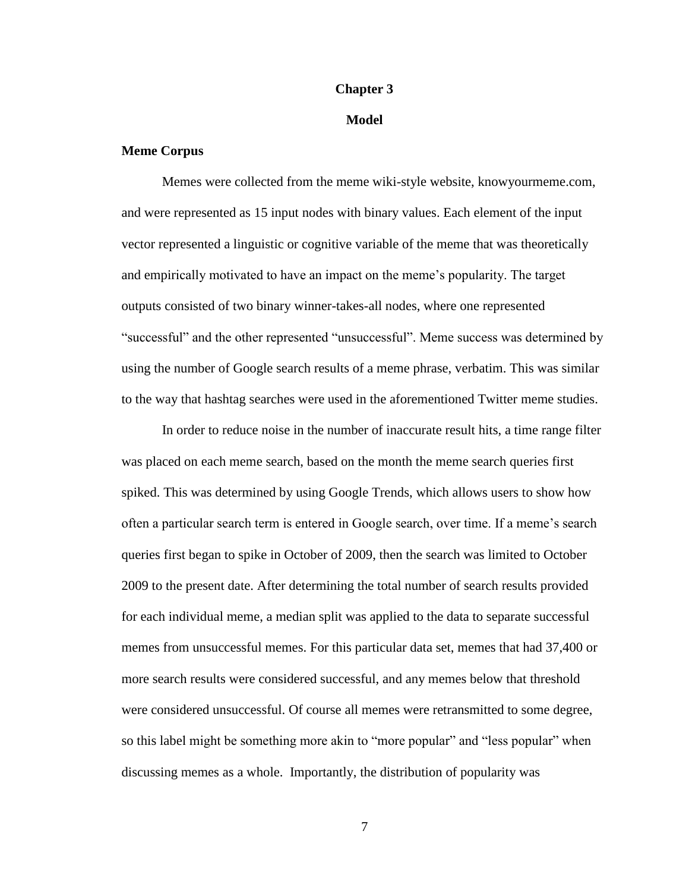### **Chapter 3**

## **Model**

## **Meme Corpus**

Memes were collected from the meme wiki-style website, knowyourmeme.com, and were represented as 15 input nodes with binary values. Each element of the input vector represented a linguistic or cognitive variable of the meme that was theoretically and empirically motivated to have an impact on the meme's popularity. The target outputs consisted of two binary winner-takes-all nodes, where one represented "successful" and the other represented "unsuccessful". Meme success was determined by using the number of Google search results of a meme phrase, verbatim. This was similar to the way that hashtag searches were used in the aforementioned Twitter meme studies.

In order to reduce noise in the number of inaccurate result hits, a time range filter was placed on each meme search, based on the month the meme search queries first spiked. This was determined by using Google Trends, which allows users to show how often a particular search term is entered in Google search, over time. If a meme's search queries first began to spike in October of 2009, then the search was limited to October 2009 to the present date. After determining the total number of search results provided for each individual meme, a median split was applied to the data to separate successful memes from unsuccessful memes. For this particular data set, memes that had 37,400 or more search results were considered successful, and any memes below that threshold were considered unsuccessful. Of course all memes were retransmitted to some degree, so this label might be something more akin to "more popular" and "less popular" when discussing memes as a whole. Importantly, the distribution of popularity was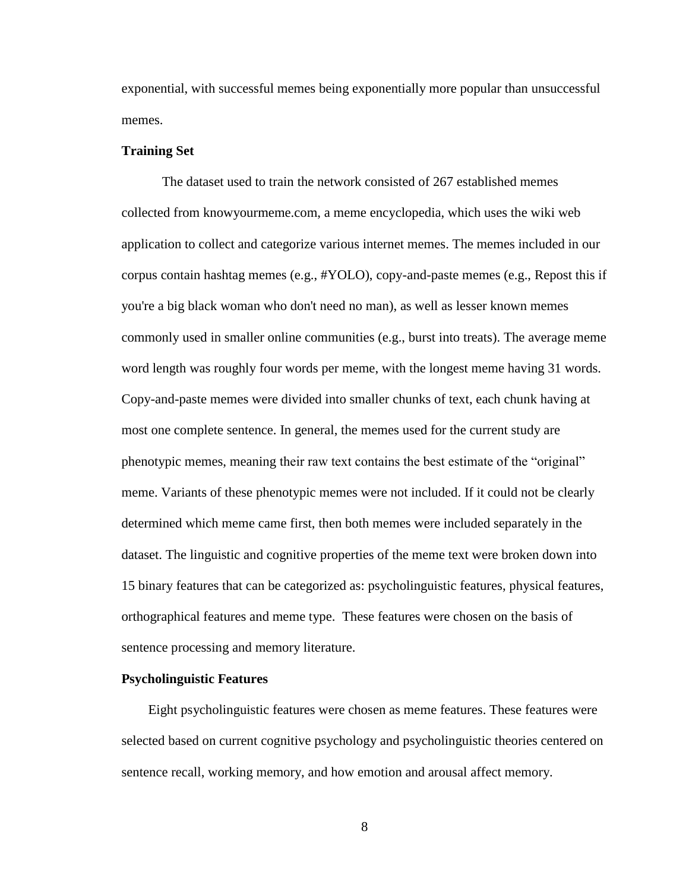exponential, with successful memes being exponentially more popular than unsuccessful memes.

#### **Training Set**

The dataset used to train the network consisted of 267 established memes collected from knowyourmeme.com, a meme encyclopedia, which uses the wiki web application to collect and categorize various internet memes. The memes included in our corpus contain hashtag memes (e.g., #YOLO), copy-and-paste memes (e.g., Repost this if you're a big black woman who don't need no man), as well as lesser known memes commonly used in smaller online communities (e.g., burst into treats). The average meme word length was roughly four words per meme, with the longest meme having 31 words. Copy-and-paste memes were divided into smaller chunks of text, each chunk having at most one complete sentence. In general, the memes used for the current study are phenotypic memes, meaning their raw text contains the best estimate of the "original" meme. Variants of these phenotypic memes were not included. If it could not be clearly determined which meme came first, then both memes were included separately in the dataset. The linguistic and cognitive properties of the meme text were broken down into 15 binary features that can be categorized as: psycholinguistic features, physical features, orthographical features and meme type. These features were chosen on the basis of sentence processing and memory literature.

#### **Psycholinguistic Features**

Eight psycholinguistic features were chosen as meme features. These features were selected based on current cognitive psychology and psycholinguistic theories centered on sentence recall, working memory, and how emotion and arousal affect memory.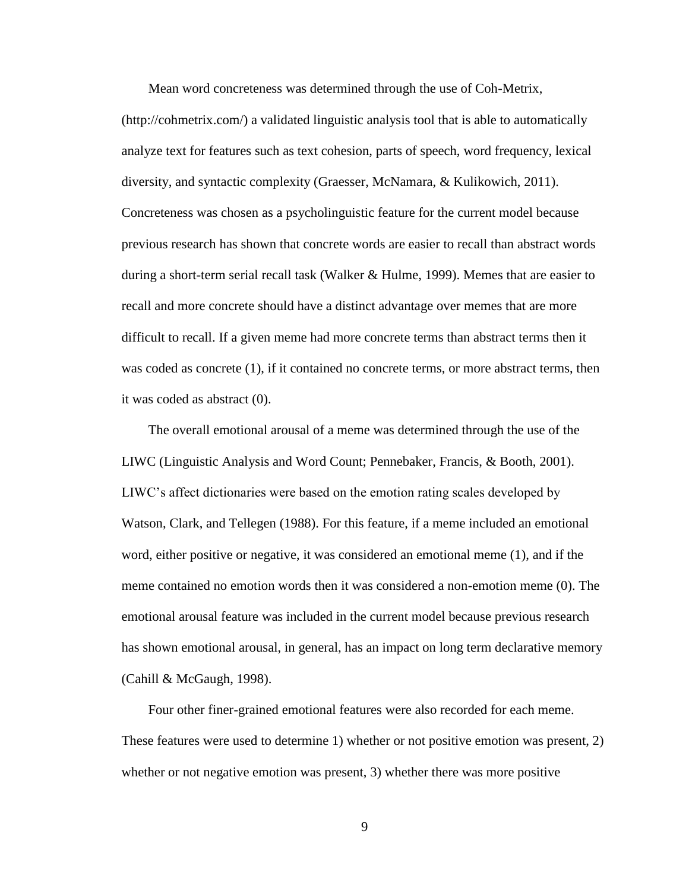Mean word concreteness was determined through the use of Coh-Metrix,

(http://cohmetrix.com/) a validated linguistic analysis tool that is able to automatically analyze text for features such as text cohesion, parts of speech, word frequency, lexical diversity, and syntactic complexity (Graesser, McNamara, & Kulikowich, 2011). Concreteness was chosen as a psycholinguistic feature for the current model because previous research has shown that concrete words are easier to recall than abstract words during a short-term serial recall task (Walker  $&$  Hulme, 1999). Memes that are easier to recall and more concrete should have a distinct advantage over memes that are more difficult to recall. If a given meme had more concrete terms than abstract terms then it was coded as concrete  $(1)$ , if it contained no concrete terms, or more abstract terms, then it was coded as abstract (0).

The overall emotional arousal of a meme was determined through the use of the LIWC (Linguistic Analysis and Word Count; Pennebaker, Francis, & Booth, 2001). LIWC's affect dictionaries were based on the emotion rating scales developed by Watson, Clark, and Tellegen (1988). For this feature, if a meme included an emotional word, either positive or negative, it was considered an emotional meme (1), and if the meme contained no emotion words then it was considered a non-emotion meme (0). The emotional arousal feature was included in the current model because previous research has shown emotional arousal, in general, has an impact on long term declarative memory (Cahill & McGaugh, 1998).

Four other finer-grained emotional features were also recorded for each meme. These features were used to determine 1) whether or not positive emotion was present, 2) whether or not negative emotion was present, 3) whether there was more positive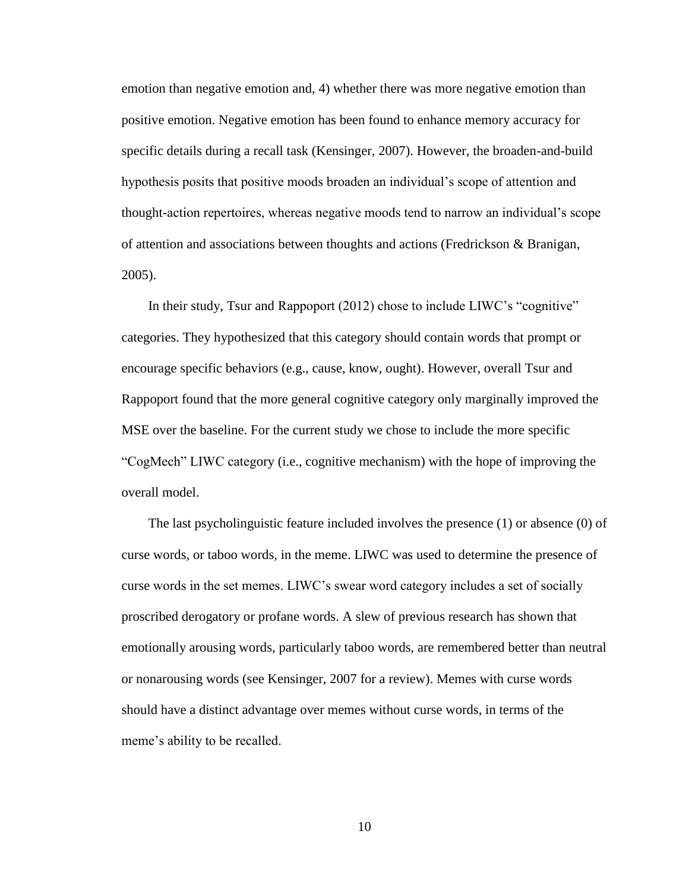emotion than negative emotion and, 4) whether there was more negative emotion than positive emotion. Negative emotion has been found to enhance memory accuracy for specific details during a recall task (Kensinger, 2007). However, the broaden-and-build hypothesis posits that positive moods broaden an individual's scope of attention and thought-action repertoires, whereas negative moods tend to narrow an individual's scope of attention and associations between thoughts and actions (Fredrickson & Branigan, 2005).

In their study, Tsur and Rappoport (2012) chose to include LIWC's "cognitive" categories. They hypothesized that this category should contain words that prompt or encourage specific behaviors (e.g., cause, know, ought). However, overall Tsur and Rappoport found that the more general cognitive category only marginally improved the MSE over the baseline. For the current study we chose to include the more specific "CogMech" LIWC category (i.e., cognitive mechanism) with the hope of improving the overall model.

The last psycholinguistic feature included involves the presence (1) or absence (0) of curse words, or taboo words, in the meme. LIWC was used to determine the presence of curse words in the set memes. LIWC's swear word category includes a set of socially proscribed derogatory or profane words. A slew of previous research has shown that emotionally arousing words, particularly taboo words, are remembered better than neutral or nonarousing words (see Kensinger, 2007 for a review). Memes with curse words should have a distinct advantage over memes without curse words, in terms of the meme's ability to be recalled.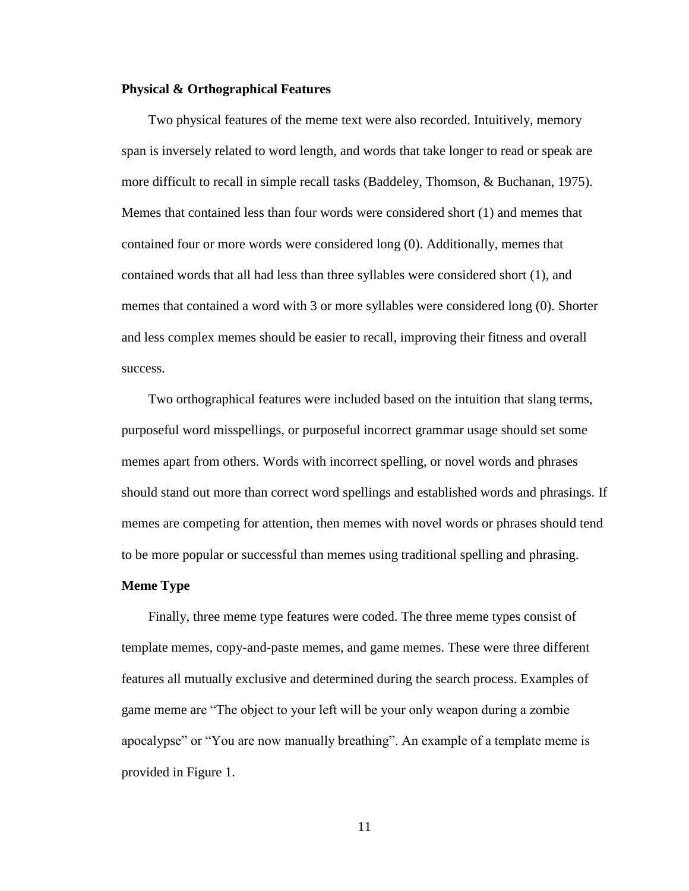#### **Physical & Orthographical Features**

Two physical features of the meme text were also recorded. Intuitively, memory span is inversely related to word length, and words that take longer to read or speak are more difficult to recall in simple recall tasks (Baddeley, Thomson, & Buchanan, 1975). Memes that contained less than four words were considered short (1) and memes that contained four or more words were considered long (0). Additionally, memes that contained words that all had less than three syllables were considered short (1), and memes that contained a word with 3 or more syllables were considered long (0). Shorter and less complex memes should be easier to recall, improving their fitness and overall success.

Two orthographical features were included based on the intuition that slang terms, purposeful word misspellings, or purposeful incorrect grammar usage should set some memes apart from others. Words with incorrect spelling, or novel words and phrases should stand out more than correct word spellings and established words and phrasings. If memes are competing for attention, then memes with novel words or phrases should tend to be more popular or successful than memes using traditional spelling and phrasing.

#### **Meme Type**

Finally, three meme type features were coded. The three meme types consist of template memes, copy-and-paste memes, and game memes. These were three different features all mutually exclusive and determined during the search process. Examples of game meme are "The object to your left will be your only weapon during a zombie apocalypse" or "You are now manually breathing". An example of a template meme is provided in Figure 1.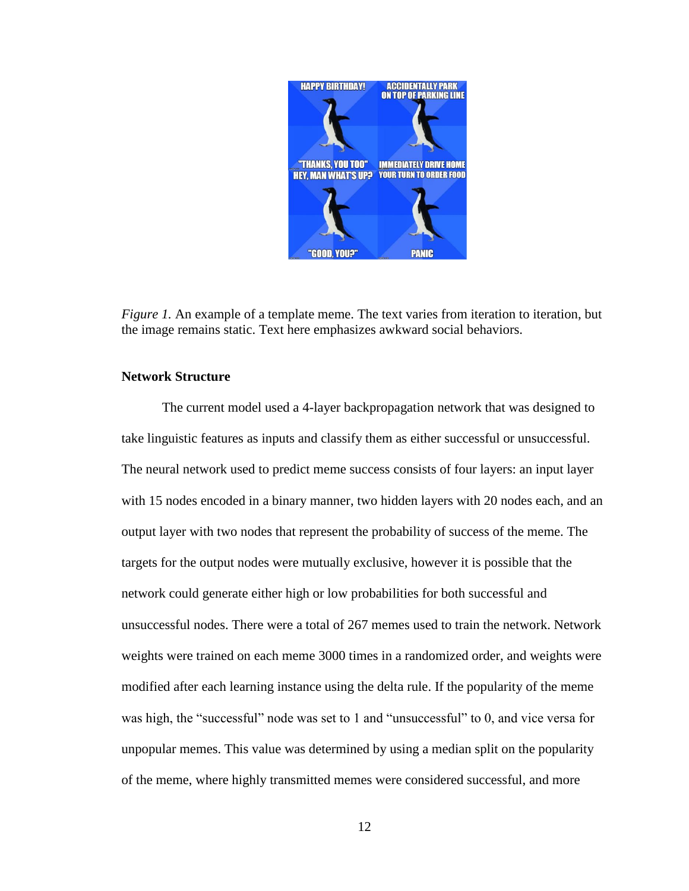

*Figure 1.* An example of a template meme. The text varies from iteration to iteration, but the image remains static. Text here emphasizes awkward social behaviors.

## **Network Structure**

The current model used a 4-layer backpropagation network that was designed to take linguistic features as inputs and classify them as either successful or unsuccessful. The neural network used to predict meme success consists of four layers: an input layer with 15 nodes encoded in a binary manner, two hidden layers with 20 nodes each, and an output layer with two nodes that represent the probability of success of the meme. The targets for the output nodes were mutually exclusive, however it is possible that the network could generate either high or low probabilities for both successful and unsuccessful nodes. There were a total of 267 memes used to train the network. Network weights were trained on each meme 3000 times in a randomized order, and weights were modified after each learning instance using the delta rule. If the popularity of the meme was high, the "successful" node was set to 1 and "unsuccessful" to 0, and vice versa for unpopular memes. This value was determined by using a median split on the popularity of the meme, where highly transmitted memes were considered successful, and more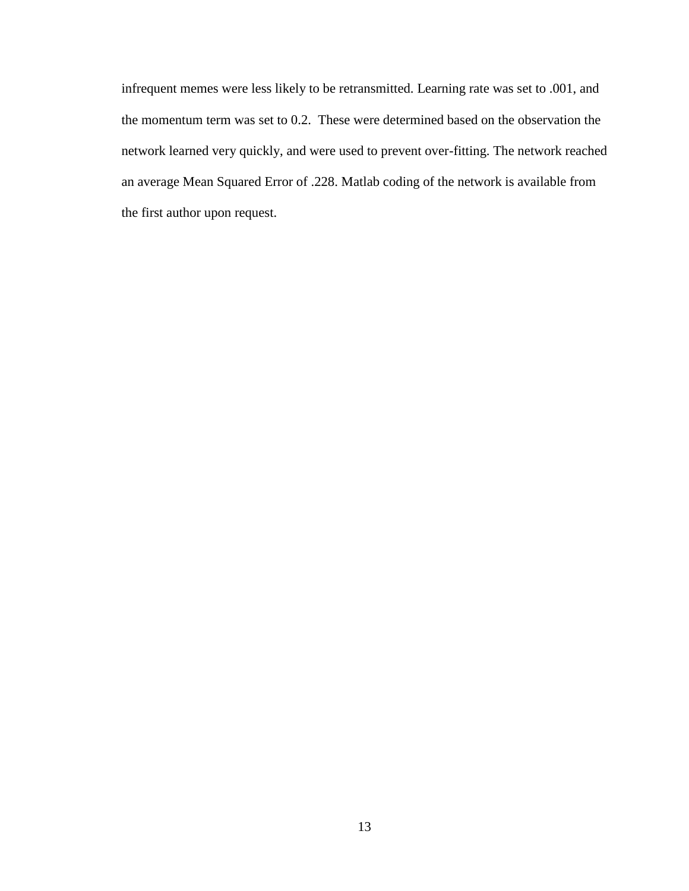infrequent memes were less likely to be retransmitted. Learning rate was set to .001, and the momentum term was set to 0.2. These were determined based on the observation the network learned very quickly, and were used to prevent over-fitting. The network reached an average Mean Squared Error of .228. Matlab coding of the network is available from the first author upon request.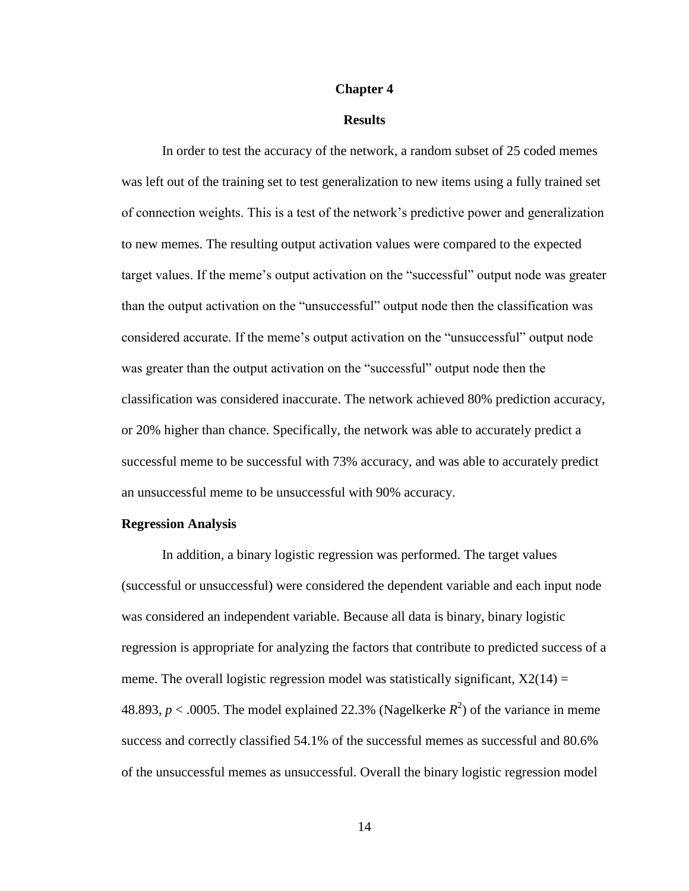#### **Chapter 4**

### **Results**

In order to test the accuracy of the network, a random subset of 25 coded memes was left out of the training set to test generalization to new items using a fully trained set of connection weights. This is a test of the network's predictive power and generalization to new memes. The resulting output activation values were compared to the expected target values. If the meme's output activation on the "successful" output node was greater than the output activation on the "unsuccessful" output node then the classification was considered accurate. If the meme's output activation on the "unsuccessful" output node was greater than the output activation on the "successful" output node then the classification was considered inaccurate. The network achieved 80% prediction accuracy, or 20% higher than chance. Specifically, the network was able to accurately predict a successful meme to be successful with 73% accuracy, and was able to accurately predict an unsuccessful meme to be unsuccessful with 90% accuracy.

#### **Regression Analysis**

In addition, a binary logistic regression was performed. The target values (successful or unsuccessful) were considered the dependent variable and each input node was considered an independent variable. Because all data is binary, binary logistic regression is appropriate for analyzing the factors that contribute to predicted success of a meme. The overall logistic regression model was statistically significant,  $X2(14) =$ 48.893,  $p < .0005$ . The model explained 22.3% (Nagelkerke  $R^2$ ) of the variance in meme success and correctly classified 54.1% of the successful memes as successful and 80.6% of the unsuccessful memes as unsuccessful. Overall the binary logistic regression model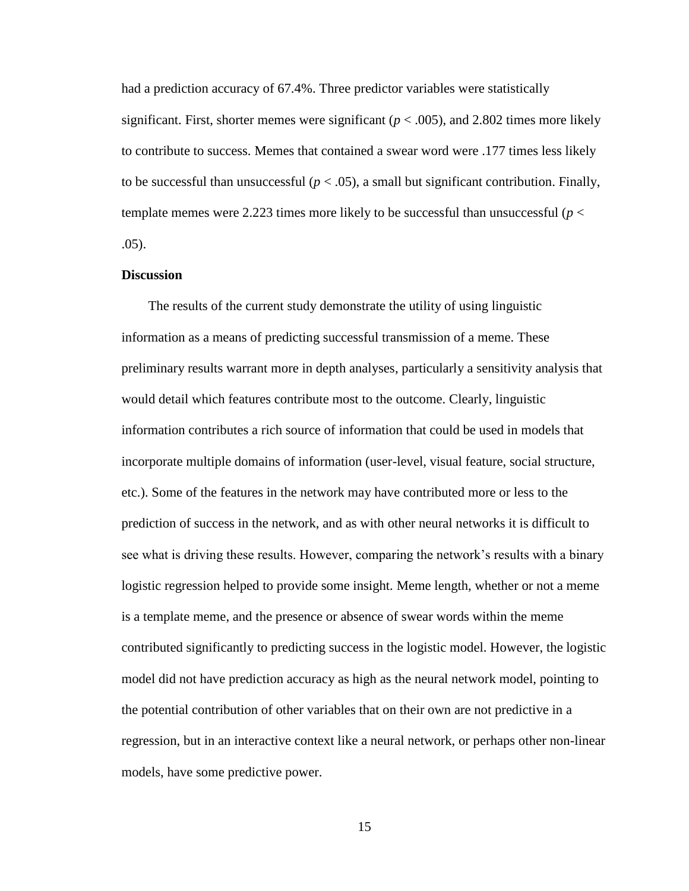had a prediction accuracy of 67.4%. Three predictor variables were statistically significant. First, shorter memes were significant ( $p < .005$ ), and 2.802 times more likely to contribute to success. Memes that contained a swear word were .177 times less likely to be successful than unsuccessful ( $p < .05$ ), a small but significant contribution. Finally, template memes were 2.223 times more likely to be successful than unsuccessful ( $p <$ .05).

## **Discussion**

The results of the current study demonstrate the utility of using linguistic information as a means of predicting successful transmission of a meme. These preliminary results warrant more in depth analyses, particularly a sensitivity analysis that would detail which features contribute most to the outcome. Clearly, linguistic information contributes a rich source of information that could be used in models that incorporate multiple domains of information (user-level, visual feature, social structure, etc.). Some of the features in the network may have contributed more or less to the prediction of success in the network, and as with other neural networks it is difficult to see what is driving these results. However, comparing the network's results with a binary logistic regression helped to provide some insight. Meme length, whether or not a meme is a template meme, and the presence or absence of swear words within the meme contributed significantly to predicting success in the logistic model. However, the logistic model did not have prediction accuracy as high as the neural network model, pointing to the potential contribution of other variables that on their own are not predictive in a regression, but in an interactive context like a neural network, or perhaps other non-linear models, have some predictive power.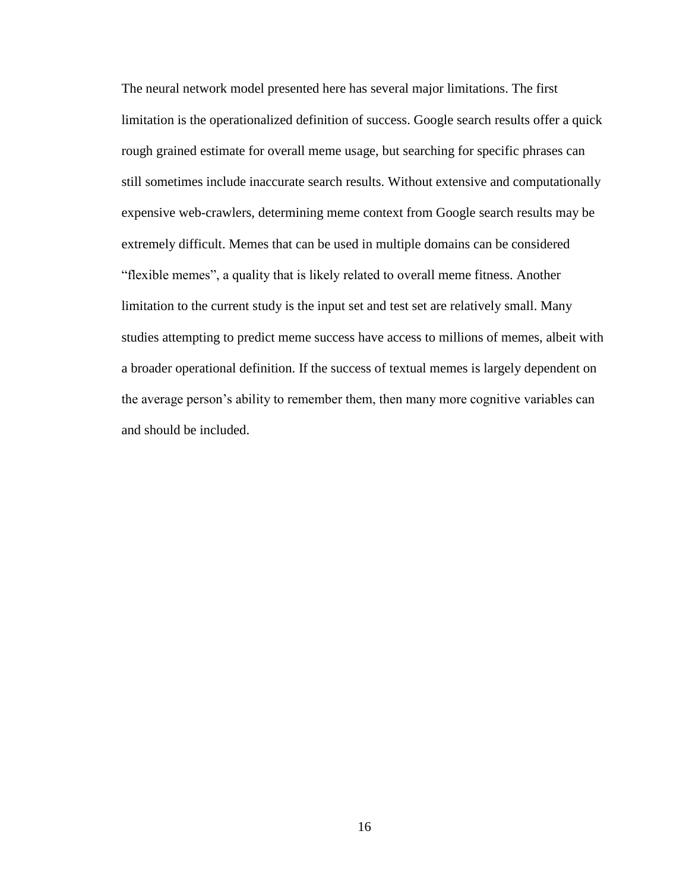The neural network model presented here has several major limitations. The first limitation is the operationalized definition of success. Google search results offer a quick rough grained estimate for overall meme usage, but searching for specific phrases can still sometimes include inaccurate search results. Without extensive and computationally expensive web-crawlers, determining meme context from Google search results may be extremely difficult. Memes that can be used in multiple domains can be considered "flexible memes", a quality that is likely related to overall meme fitness. Another limitation to the current study is the input set and test set are relatively small. Many studies attempting to predict meme success have access to millions of memes, albeit with a broader operational definition. If the success of textual memes is largely dependent on the average person's ability to remember them, then many more cognitive variables can and should be included.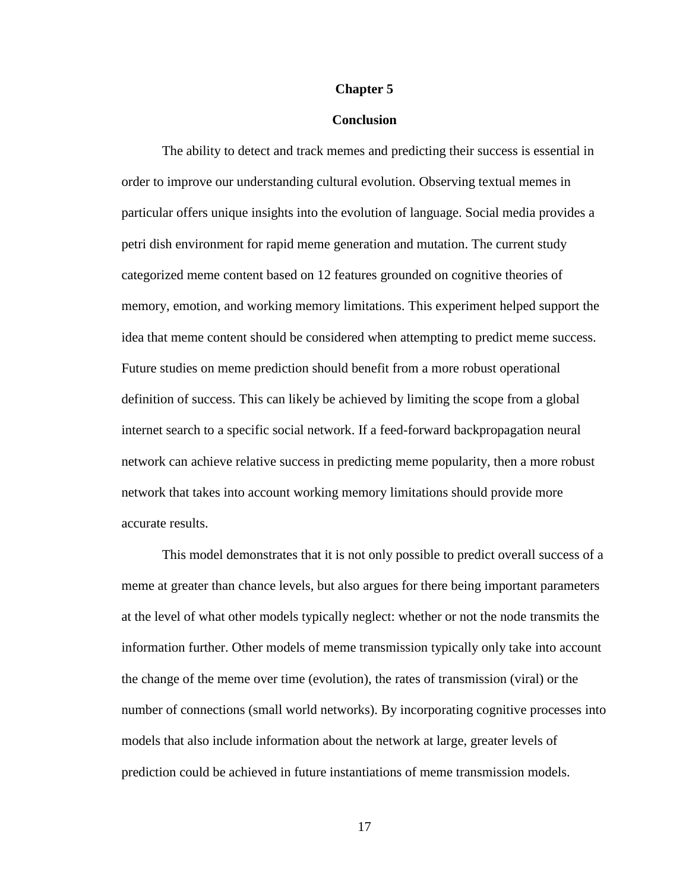#### **Chapter 5**

### **Conclusion**

The ability to detect and track memes and predicting their success is essential in order to improve our understanding cultural evolution. Observing textual memes in particular offers unique insights into the evolution of language. Social media provides a petri dish environment for rapid meme generation and mutation. The current study categorized meme content based on 12 features grounded on cognitive theories of memory, emotion, and working memory limitations. This experiment helped support the idea that meme content should be considered when attempting to predict meme success. Future studies on meme prediction should benefit from a more robust operational definition of success. This can likely be achieved by limiting the scope from a global internet search to a specific social network. If a feed-forward backpropagation neural network can achieve relative success in predicting meme popularity, then a more robust network that takes into account working memory limitations should provide more accurate results.

This model demonstrates that it is not only possible to predict overall success of a meme at greater than chance levels, but also argues for there being important parameters at the level of what other models typically neglect: whether or not the node transmits the information further. Other models of meme transmission typically only take into account the change of the meme over time (evolution), the rates of transmission (viral) or the number of connections (small world networks). By incorporating cognitive processes into models that also include information about the network at large, greater levels of prediction could be achieved in future instantiations of meme transmission models.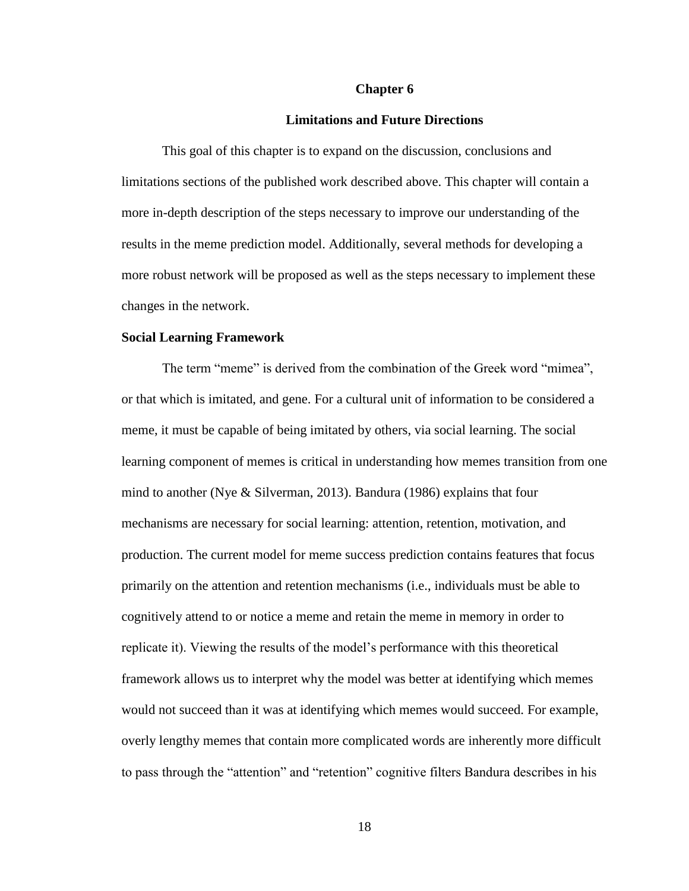#### **Chapter 6**

### **Limitations and Future Directions**

This goal of this chapter is to expand on the discussion, conclusions and limitations sections of the published work described above. This chapter will contain a more in-depth description of the steps necessary to improve our understanding of the results in the meme prediction model. Additionally, several methods for developing a more robust network will be proposed as well as the steps necessary to implement these changes in the network.

### **Social Learning Framework**

The term "meme" is derived from the combination of the Greek word "mimea", or that which is imitated, and gene. For a cultural unit of information to be considered a meme, it must be capable of being imitated by others, via social learning. The social learning component of memes is critical in understanding how memes transition from one mind to another (Nye & Silverman, 2013). Bandura (1986) explains that four mechanisms are necessary for social learning: attention, retention, motivation, and production. The current model for meme success prediction contains features that focus primarily on the attention and retention mechanisms (i.e., individuals must be able to cognitively attend to or notice a meme and retain the meme in memory in order to replicate it). Viewing the results of the model's performance with this theoretical framework allows us to interpret why the model was better at identifying which memes would not succeed than it was at identifying which memes would succeed. For example, overly lengthy memes that contain more complicated words are inherently more difficult to pass through the "attention" and "retention" cognitive filters Bandura describes in his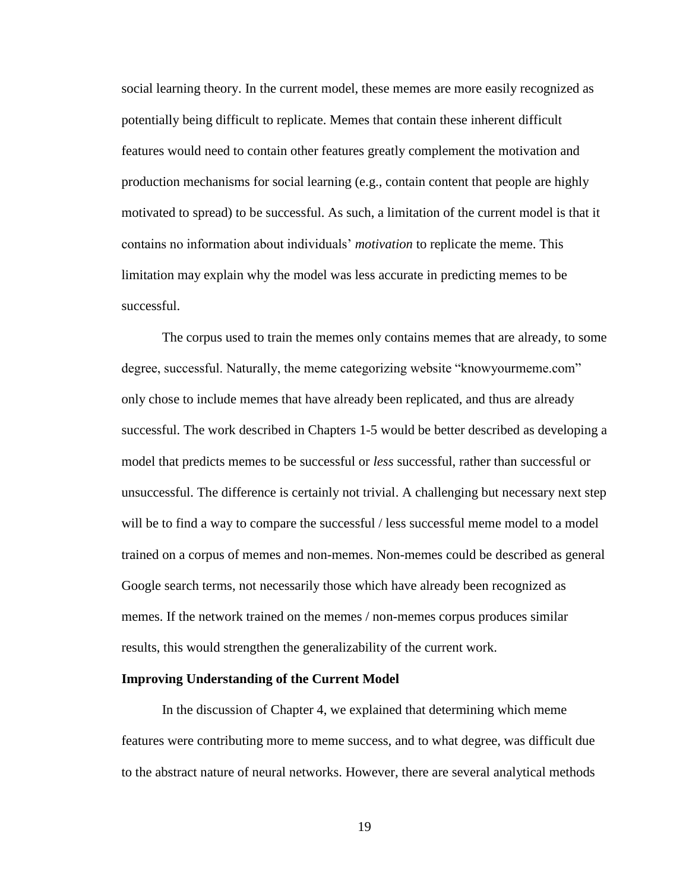social learning theory. In the current model, these memes are more easily recognized as potentially being difficult to replicate. Memes that contain these inherent difficult features would need to contain other features greatly complement the motivation and production mechanisms for social learning (e.g., contain content that people are highly motivated to spread) to be successful. As such, a limitation of the current model is that it contains no information about individuals' *motivation* to replicate the meme. This limitation may explain why the model was less accurate in predicting memes to be successful.

The corpus used to train the memes only contains memes that are already, to some degree, successful. Naturally, the meme categorizing website "knowyourmeme.com" only chose to include memes that have already been replicated, and thus are already successful. The work described in Chapters 1-5 would be better described as developing a model that predicts memes to be successful or *less* successful, rather than successful or unsuccessful. The difference is certainly not trivial. A challenging but necessary next step will be to find a way to compare the successful / less successful meme model to a model trained on a corpus of memes and non-memes. Non-memes could be described as general Google search terms, not necessarily those which have already been recognized as memes. If the network trained on the memes / non-memes corpus produces similar results, this would strengthen the generalizability of the current work.

#### **Improving Understanding of the Current Model**

In the discussion of Chapter 4, we explained that determining which meme features were contributing more to meme success, and to what degree, was difficult due to the abstract nature of neural networks. However, there are several analytical methods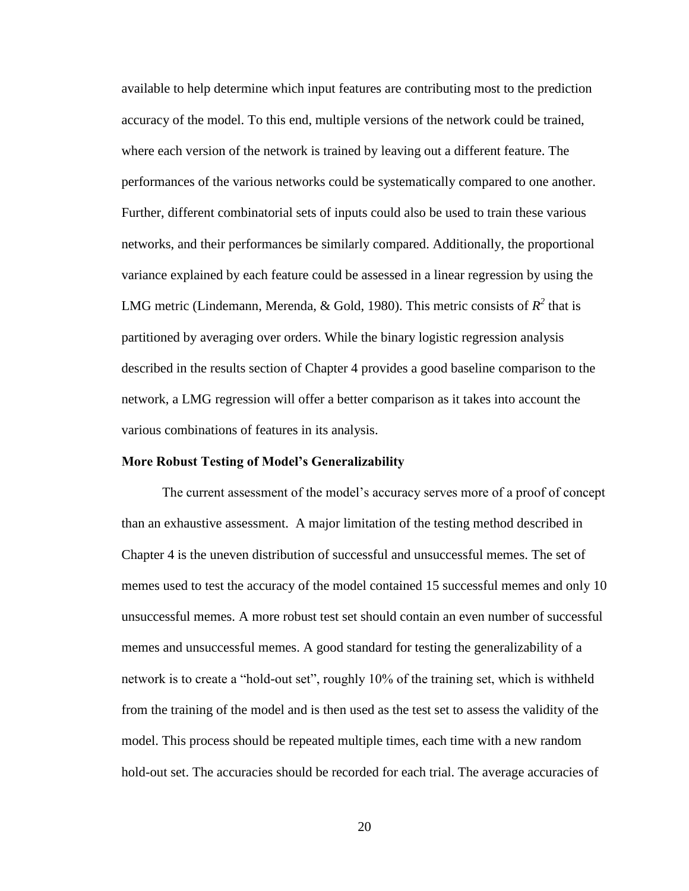available to help determine which input features are contributing most to the prediction accuracy of the model. To this end, multiple versions of the network could be trained, where each version of the network is trained by leaving out a different feature. The performances of the various networks could be systematically compared to one another. Further, different combinatorial sets of inputs could also be used to train these various networks, and their performances be similarly compared. Additionally, the proportional variance explained by each feature could be assessed in a linear regression by using the LMG metric (Lindemann, Merenda, & Gold, 1980). This metric consists of  $R^2$  that is partitioned by averaging over orders. While the binary logistic regression analysis described in the results section of Chapter 4 provides a good baseline comparison to the network, a LMG regression will offer a better comparison as it takes into account the various combinations of features in its analysis.

#### **More Robust Testing of Model's Generalizability**

The current assessment of the model's accuracy serves more of a proof of concept than an exhaustive assessment. A major limitation of the testing method described in Chapter 4 is the uneven distribution of successful and unsuccessful memes. The set of memes used to test the accuracy of the model contained 15 successful memes and only 10 unsuccessful memes. A more robust test set should contain an even number of successful memes and unsuccessful memes. A good standard for testing the generalizability of a network is to create a "hold-out set", roughly 10% of the training set, which is withheld from the training of the model and is then used as the test set to assess the validity of the model. This process should be repeated multiple times, each time with a new random hold-out set. The accuracies should be recorded for each trial. The average accuracies of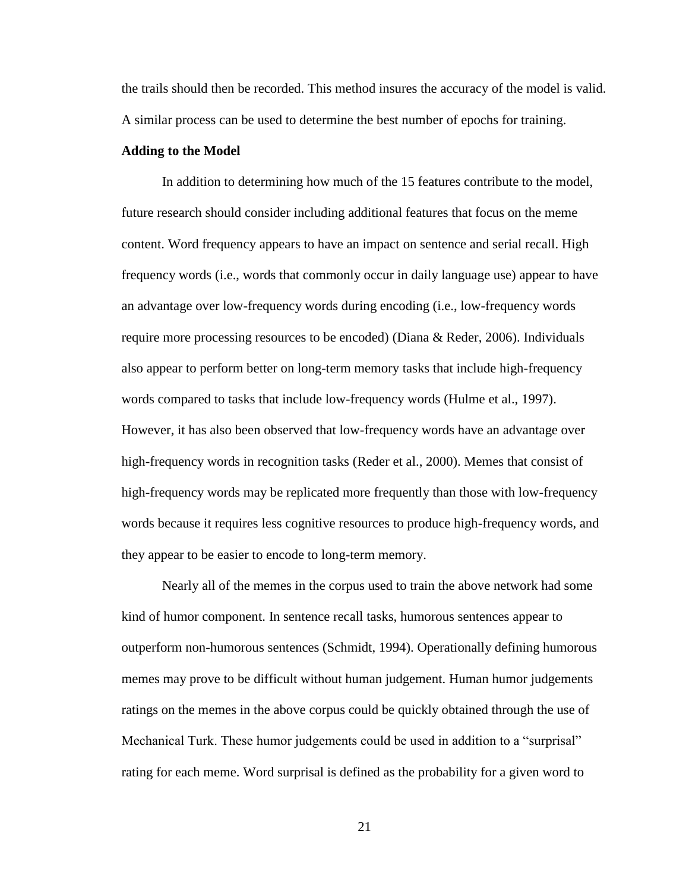the trails should then be recorded. This method insures the accuracy of the model is valid. A similar process can be used to determine the best number of epochs for training.

### **Adding to the Model**

In addition to determining how much of the 15 features contribute to the model, future research should consider including additional features that focus on the meme content. Word frequency appears to have an impact on sentence and serial recall. High frequency words (i.e., words that commonly occur in daily language use) appear to have an advantage over low-frequency words during encoding (i.e., low-frequency words require more processing resources to be encoded) (Diana & Reder, 2006). Individuals also appear to perform better on long-term memory tasks that include high-frequency words compared to tasks that include low-frequency words (Hulme et al., 1997). However, it has also been observed that low-frequency words have an advantage over high-frequency words in recognition tasks (Reder et al., 2000). Memes that consist of high-frequency words may be replicated more frequently than those with low-frequency words because it requires less cognitive resources to produce high-frequency words, and they appear to be easier to encode to long-term memory.

Nearly all of the memes in the corpus used to train the above network had some kind of humor component. In sentence recall tasks, humorous sentences appear to outperform non-humorous sentences (Schmidt, 1994). Operationally defining humorous memes may prove to be difficult without human judgement. Human humor judgements ratings on the memes in the above corpus could be quickly obtained through the use of Mechanical Turk. These humor judgements could be used in addition to a "surprisal" rating for each meme. Word surprisal is defined as the probability for a given word to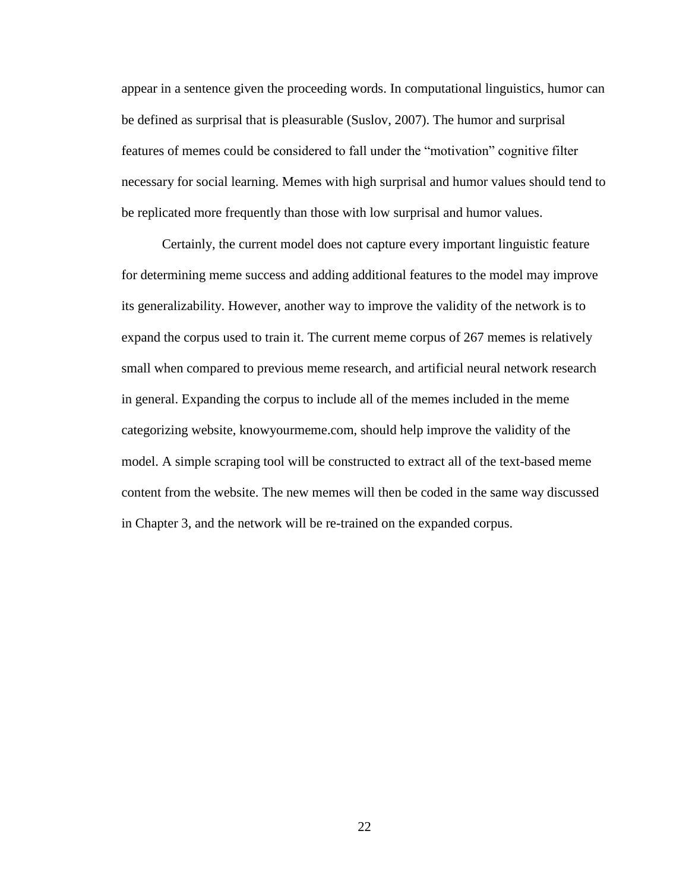appear in a sentence given the proceeding words. In computational linguistics, humor can be defined as surprisal that is pleasurable (Suslov, 2007). The humor and surprisal features of memes could be considered to fall under the "motivation" cognitive filter necessary for social learning. Memes with high surprisal and humor values should tend to be replicated more frequently than those with low surprisal and humor values.

Certainly, the current model does not capture every important linguistic feature for determining meme success and adding additional features to the model may improve its generalizability. However, another way to improve the validity of the network is to expand the corpus used to train it. The current meme corpus of 267 memes is relatively small when compared to previous meme research, and artificial neural network research in general. Expanding the corpus to include all of the memes included in the meme categorizing website, knowyourmeme.com, should help improve the validity of the model. A simple scraping tool will be constructed to extract all of the text-based meme content from the website. The new memes will then be coded in the same way discussed in Chapter 3, and the network will be re-trained on the expanded corpus.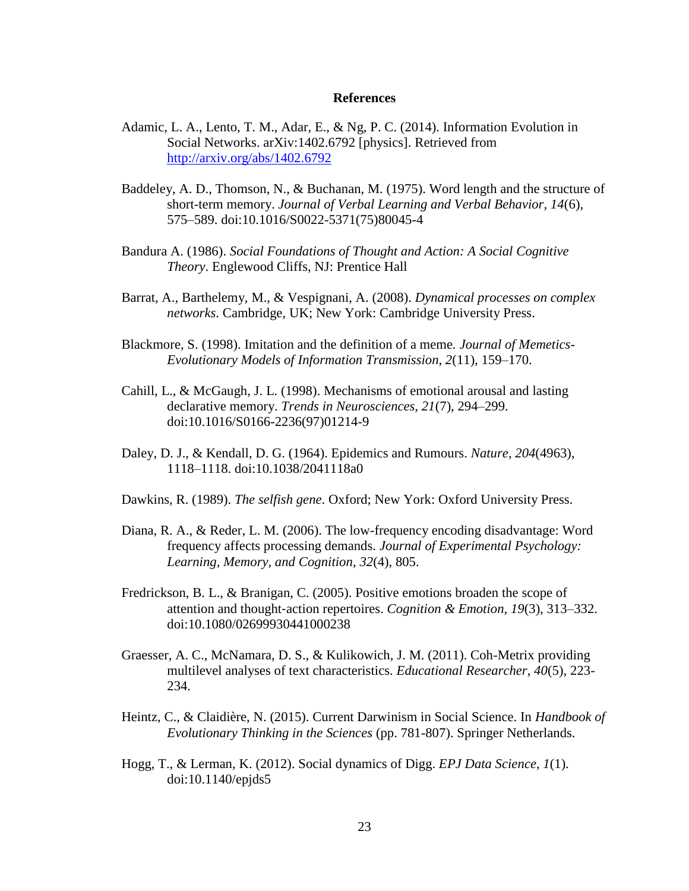## **References**

- Adamic, L. A., Lento, T. M., Adar, E., & Ng, P. C. (2014). Information Evolution in Social Networks. arXiv:1402.6792 [physics]. Retrieved from <http://arxiv.org/abs/1402.6792>
- Baddeley, A. D., Thomson, N., & Buchanan, M. (1975). Word length and the structure of short-term memory. *Journal of Verbal Learning and Verbal Behavior, 14*(6), 575–589. doi:10.1016/S0022-5371(75)80045-4
- Bandura A. (1986). *Social Foundations of Thought and Action: A Social Cognitive Theory*. Englewood Cliffs, NJ: Prentice Hall
- Barrat, A., Barthelemy, M., & Vespignani, A. (2008). *Dynamical processes on complex networks*. Cambridge, UK; New York: Cambridge University Press.
- Blackmore, S. (1998). Imitation and the definition of a meme*. Journal of Memetics-Evolutionary Models of Information Transmission, 2*(11), 159–170.
- Cahill, L., & McGaugh, J. L. (1998). Mechanisms of emotional arousal and lasting declarative memory. *Trends in Neurosciences, 21*(7), 294–299. doi:10.1016/S0166-2236(97)01214-9
- Daley, D. J., & Kendall, D. G. (1964). Epidemics and Rumours. *Nature, 204*(4963), 1118–1118. doi:10.1038/2041118a0
- Dawkins, R. (1989). *The selfish gene*. Oxford; New York: Oxford University Press.
- Diana, R. A., & Reder, L. M. (2006). The low-frequency encoding disadvantage: Word frequency affects processing demands. *Journal of Experimental Psychology: Learning, Memory, and Cognition*, *32*(4), 805.
- Fredrickson, B. L., & Branigan, C. (2005). Positive emotions broaden the scope of attention and thought‐action repertoires. *Cognition & Emotion, 19*(3), 313–332. doi:10.1080/02699930441000238
- Graesser, A. C., McNamara, D. S., & Kulikowich, J. M. (2011). Coh-Metrix providing multilevel analyses of text characteristics. *Educational Researcher*, *40*(5), 223- 234.
- Heintz, C., & Claidière, N. (2015). Current Darwinism in Social Science. In *Handbook of Evolutionary Thinking in the Sciences* (pp. 781-807). Springer Netherlands.
- Hogg, T., & Lerman, K. (2012). Social dynamics of Digg. *EPJ Data Science, 1*(1). doi:10.1140/epjds5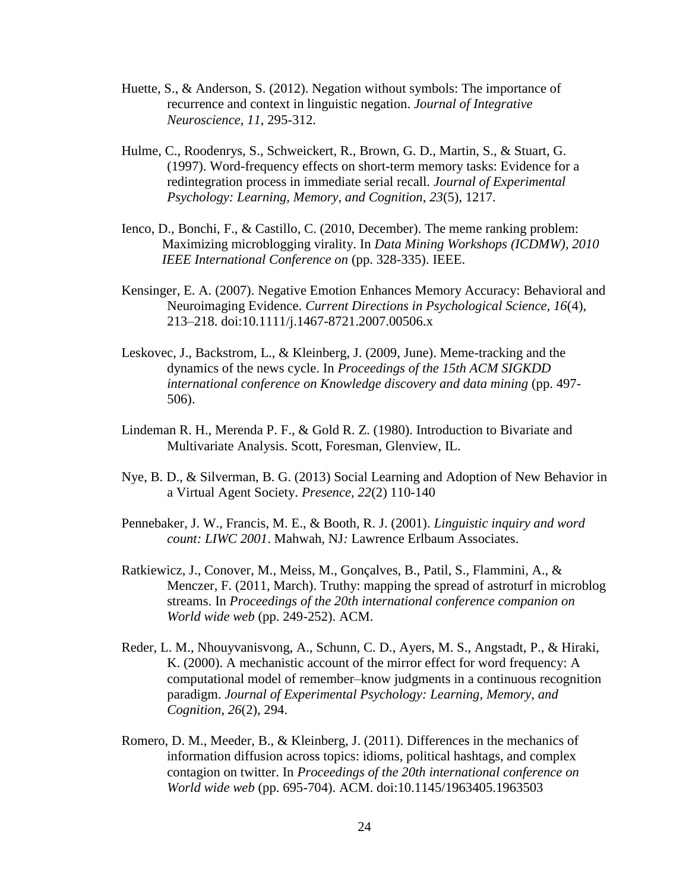- Huette, S., & Anderson, S. (2012). Negation without symbols: The importance of recurrence and context in linguistic negation. *Journal of Integrative Neuroscience, 11*, 295-312.
- Hulme, C., Roodenrys, S., Schweickert, R., Brown, G. D., Martin, S., & Stuart, G. (1997). Word-frequency effects on short-term memory tasks: Evidence for a redintegration process in immediate serial recall. *Journal of Experimental Psychology: Learning, Memory, and Cognition*, *23*(5), 1217.
- Ienco, D., Bonchi, F., & Castillo, C. (2010, December). The meme ranking problem: Maximizing microblogging virality. In *Data Mining Workshops (ICDMW), 2010 IEEE International Conference on* (pp. 328-335). IEEE.
- Kensinger, E. A. (2007). Negative Emotion Enhances Memory Accuracy: Behavioral and Neuroimaging Evidence. *Current Directions in Psychological Science, 16*(4), 213–218. doi:10.1111/j.1467-8721.2007.00506.x
- Leskovec, J., Backstrom, L., & Kleinberg, J. (2009, June). Meme-tracking and the dynamics of the news cycle. In *Proceedings of the 15th ACM SIGKDD international conference on Knowledge discovery and data mining* (pp. 497- 506).
- Lindeman R. H., Merenda P. F., & Gold R. Z. (1980). Introduction to Bivariate and Multivariate Analysis. Scott, Foresman, Glenview, IL.
- Nye, B. D., & Silverman, B. G. (2013) Social Learning and Adoption of New Behavior in a Virtual Agent Society. *Presence, 22*(2) 110-140
- Pennebaker, J. W., Francis, M. E., & Booth, R. J. (2001). *Linguistic inquiry and word count: LIWC 2001*. Mahwah, NJ*:* Lawrence Erlbaum Associates.
- Ratkiewicz, J., Conover, M., Meiss, M., Gonçalves, B., Patil, S., Flammini, A., & Menczer, F. (2011, March). Truthy: mapping the spread of astroturf in microblog streams. In *Proceedings of the 20th international conference companion on World wide web* (pp. 249-252). ACM.
- Reder, L. M., Nhouyvanisvong, A., Schunn, C. D., Ayers, M. S., Angstadt, P., & Hiraki, K. (2000). A mechanistic account of the mirror effect for word frequency: A computational model of remember–know judgments in a continuous recognition paradigm. *Journal of Experimental Psychology: Learning, Memory, and Cognition*, *26*(2), 294.
- Romero, D. M., Meeder, B., & Kleinberg, J. (2011). Differences in the mechanics of information diffusion across topics: idioms, political hashtags, and complex contagion on twitter. In *Proceedings of the 20th international conference on World wide web* (pp. 695-704). ACM. doi:10.1145/1963405.1963503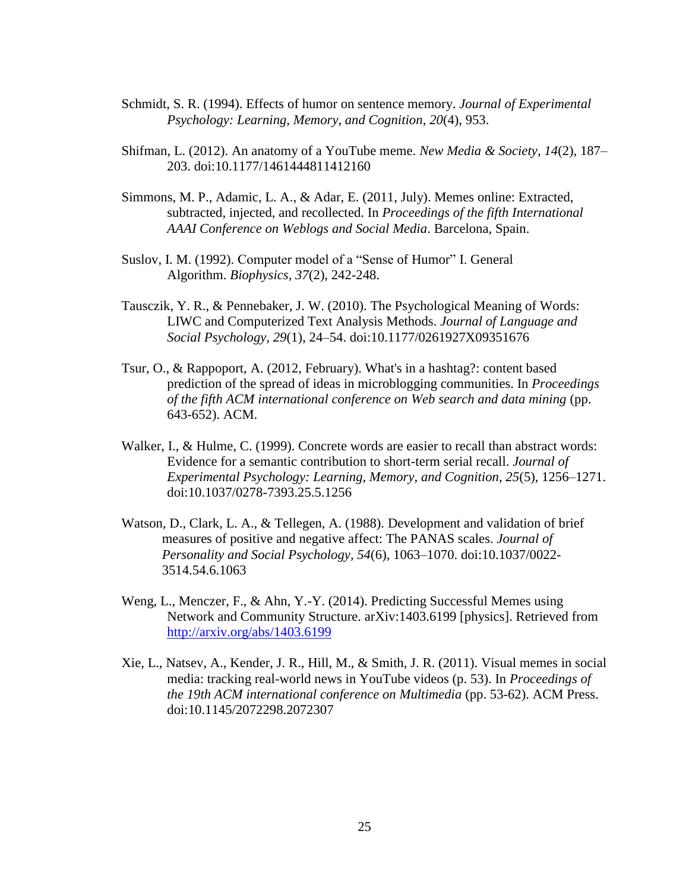- Schmidt, S. R. (1994). Effects of humor on sentence memory. *Journal of Experimental Psychology: Learning, Memory, and Cognition*, *20*(4), 953.
- Shifman, L. (2012). An anatomy of a YouTube meme. *New Media & Society, 14*(2), 187– 203. doi:10.1177/1461444811412160
- Simmons, M. P., Adamic, L. A., & Adar, E. (2011, July). Memes online: Extracted, subtracted, injected, and recollected. In *Proceedings of the fifth International AAAI Conference on Weblogs and Social Media*. Barcelona, Spain.
- Suslov, I. M. (1992). Computer model of a "Sense of Humor" I. General Algorithm. *Biophysics*, *37*(2), 242-248.
- Tausczik, Y. R., & Pennebaker, J. W. (2010). The Psychological Meaning of Words: LIWC and Computerized Text Analysis Methods. *Journal of Language and Social Psychology, 29*(1), 24–54. doi:10.1177/0261927X09351676
- Tsur, O., & Rappoport, A. (2012, February). What's in a hashtag?: content based prediction of the spread of ideas in microblogging communities. In *Proceedings of the fifth ACM international conference on Web search and data mining* (pp. 643-652). ACM.
- Walker, I., & Hulme, C. (1999). Concrete words are easier to recall than abstract words: Evidence for a semantic contribution to short-term serial recall. *Journal of Experimental Psychology: Learning, Memory, and Cognition, 25*(5), 1256–1271. doi:10.1037/0278-7393.25.5.1256
- Watson, D., Clark, L. A., & Tellegen, A. (1988). Development and validation of brief measures of positive and negative affect: The PANAS scales. *Journal of Personality and Social Psychology, 54*(6), 1063–1070. doi:10.1037/0022- 3514.54.6.1063
- Weng, L., Menczer, F., & Ahn, Y.-Y. (2014). Predicting Successful Memes using Network and Community Structure. arXiv:1403.6199 [physics]. Retrieved from <http://arxiv.org/abs/1403.6199>
- Xie, L., Natsev, A., Kender, J. R., Hill, M., & Smith, J. R. (2011). Visual memes in social media: tracking real-world news in YouTube videos (p. 53). In *Proceedings of the 19th ACM international conference on Multimedia* (pp. 53-62). ACM Press. doi:10.1145/2072298.2072307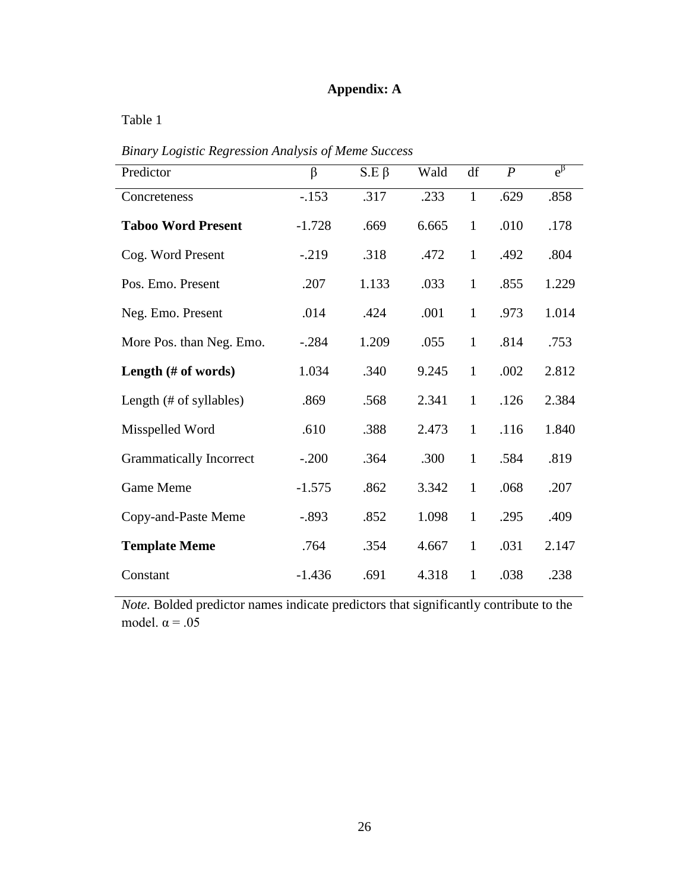## **Appendix: A**

Table 1

| Predictor                      | $\beta$  | $S.E \beta$ | Wald  | df           | $\boldsymbol{P}$ | $e^{\beta}$ |
|--------------------------------|----------|-------------|-------|--------------|------------------|-------------|
| Concreteness                   | $-.153$  | .317        | .233  | $\mathbf{1}$ | .629             | .858        |
| <b>Taboo Word Present</b>      | $-1.728$ | .669        | 6.665 | $\mathbf{1}$ | .010             | .178        |
| Cog. Word Present              | $-.219$  | .318        | .472  | $\mathbf{1}$ | .492             | .804        |
| Pos. Emo. Present              | .207     | 1.133       | .033  | $\mathbf{1}$ | .855             | 1.229       |
| Neg. Emo. Present              | .014     | .424        | .001  | $\mathbf{1}$ | .973             | 1.014       |
| More Pos. than Neg. Emo.       | $-.284$  | 1.209       | .055  | $\mathbf{1}$ | .814             | .753        |
| Length $(\# \text{ of words})$ | 1.034    | .340        | 9.245 | $\mathbf{1}$ | .002             | 2.812       |
| Length (# of syllables)        | .869     | .568        | 2.341 | $\mathbf{1}$ | .126             | 2.384       |
| Misspelled Word                | .610     | .388        | 2.473 | $\mathbf{1}$ | .116             | 1.840       |
| <b>Grammatically Incorrect</b> | $-.200$  | .364        | .300  | $\mathbf{1}$ | .584             | .819        |
| Game Meme                      | $-1.575$ | .862        | 3.342 | $\mathbf{1}$ | .068             | .207        |
| Copy-and-Paste Meme            | $-.893$  | .852        | 1.098 | $\mathbf{1}$ | .295             | .409        |
| <b>Template Meme</b>           | .764     | .354        | 4.667 | $\mathbf{1}$ | .031             | 2.147       |
| Constant                       | $-1.436$ | .691        | 4.318 | $\mathbf{1}$ | .038             | .238        |

*Binary Logistic Regression Analysis of Meme Success*

*Note.* Bolded predictor names indicate predictors that significantly contribute to the model.  $\alpha = .05$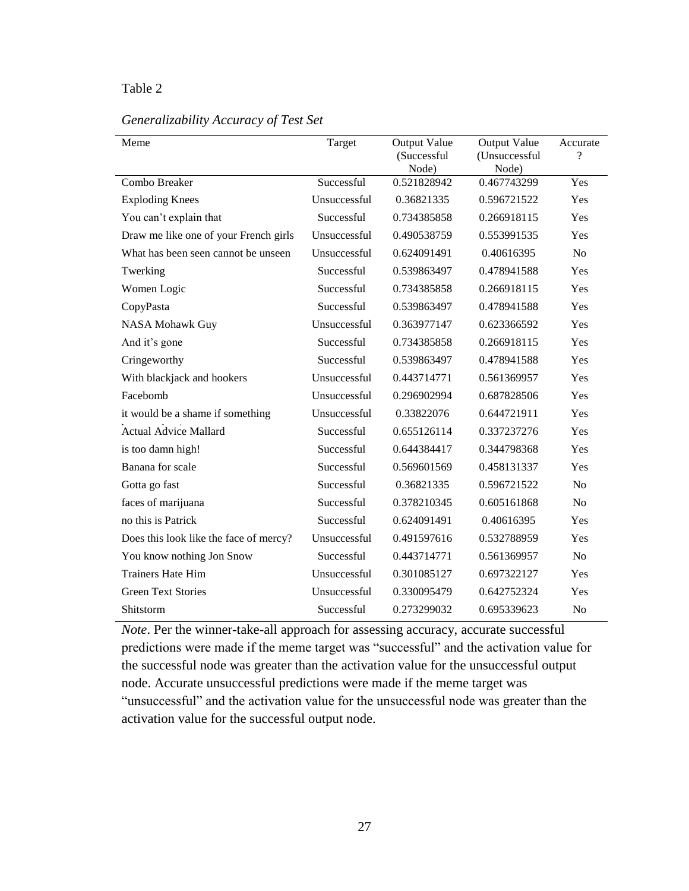## Table 2

## *Generalizability Accuracy of Test Set*

| Meme                                   | Target       | Output Value<br>(Successful<br>Node) | Output Value<br>(Unsuccessful<br>Node) | Accurate<br>$\gamma$ |
|----------------------------------------|--------------|--------------------------------------|----------------------------------------|----------------------|
| Combo Breaker                          | Successful   | 0.521828942                          | 0.467743299                            | Yes                  |
| <b>Exploding Knees</b>                 | Unsuccessful | 0.36821335                           | 0.596721522                            | Yes                  |
| You can't explain that                 | Successful   | 0.734385858                          | 0.266918115                            | Yes                  |
| Draw me like one of your French girls  | Unsuccessful | 0.490538759                          | 0.553991535                            | Yes                  |
| What has been seen cannot be unseen    | Unsuccessful | 0.624091491                          | 0.40616395                             | N <sub>o</sub>       |
| Twerking                               | Successful   | 0.539863497                          | 0.478941588                            | Yes                  |
| Women Logic                            | Successful   | 0.734385858                          | 0.266918115                            | Yes                  |
| CopyPasta                              | Successful   | 0.539863497                          | 0.478941588                            | Yes                  |
| NASA Mohawk Guy                        | Unsuccessful | 0.363977147                          | 0.623366592                            | Yes                  |
| And it's gone                          | Successful   | 0.734385858                          | 0.266918115                            | Yes                  |
| Cringeworthy                           | Successful   | 0.539863497                          | 0.478941588                            | Yes                  |
| With blackjack and hookers             | Unsuccessful | 0.443714771                          | 0.561369957                            | Yes                  |
| Facebomb                               | Unsuccessful | 0.296902994                          | 0.687828506                            | Yes                  |
| it would be a shame if something       | Unsuccessful | 0.33822076                           | 0.644721911                            | Yes                  |
| <b>Actual Advice Mallard</b>           | Successful   | 0.655126114                          | 0.337237276                            | Yes                  |
| is too damn high!                      | Successful   | 0.644384417                          | 0.344798368                            | Yes                  |
| Banana for scale                       | Successful   | 0.569601569                          | 0.458131337                            | Yes                  |
| Gotta go fast                          | Successful   | 0.36821335                           | 0.596721522                            | No                   |
| faces of marijuana                     | Successful   | 0.378210345                          | 0.605161868                            | N <sub>o</sub>       |
| no this is Patrick                     | Successful   | 0.624091491                          | 0.40616395                             | Yes                  |
| Does this look like the face of mercy? | Unsuccessful | 0.491597616                          | 0.532788959                            | Yes                  |
| You know nothing Jon Snow              | Successful   | 0.443714771                          | 0.561369957                            | N <sub>o</sub>       |
| <b>Trainers Hate Him</b>               | Unsuccessful | 0.301085127                          | 0.697322127                            | Yes                  |
| <b>Green Text Stories</b>              | Unsuccessful | 0.330095479                          | 0.642752324                            | Yes                  |
| Shitstorm                              | Successful   | 0.273299032                          | 0.695339623                            | N <sub>o</sub>       |

*Note*. Per the winner-take-all approach for assessing accuracy, accurate successful predictions were made if the meme target was "successful" and the activation value for the successful node was greater than the activation value for the unsuccessful output node. Accurate unsuccessful predictions were made if the meme target was "unsuccessful" and the activation value for the unsuccessful node was greater than the activation value for the successful output node.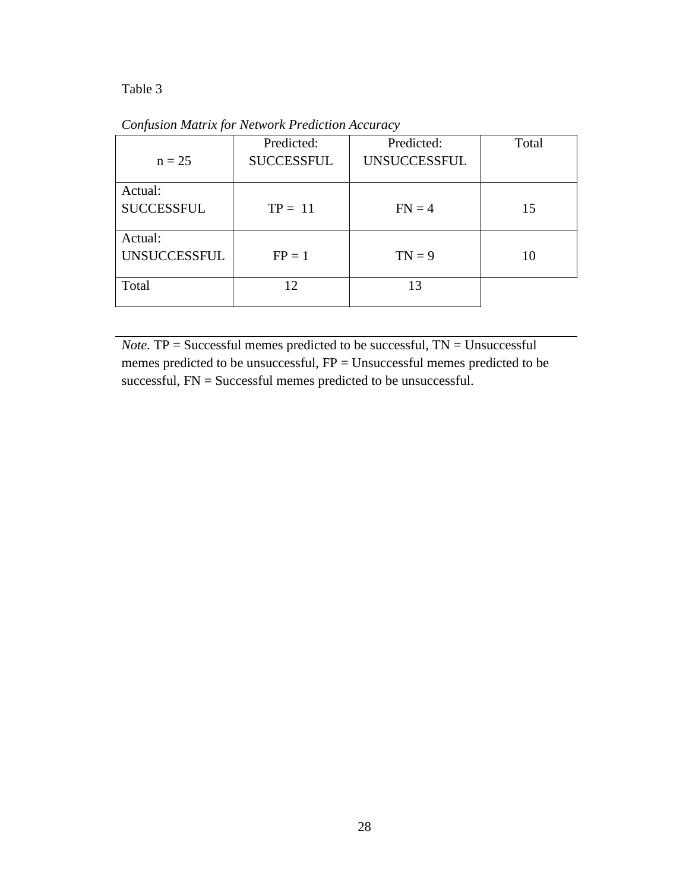Table 3

*Confusion Matrix for Network Prediction Accuracy*

|                     | Predicted:        | Predicted:          | Total |
|---------------------|-------------------|---------------------|-------|
| $n = 25$            | <b>SUCCESSFUL</b> | <b>UNSUCCESSFUL</b> |       |
| Actual:             |                   |                     |       |
| <b>SUCCESSFUL</b>   | $TP = 11$         | $FN = 4$            | 15    |
| Actual:             |                   |                     |       |
| <b>UNSUCCESSFUL</b> | $FP = 1$          | $TN = 9$            | 10    |
| Total               | 12                | 13                  |       |
|                     |                   |                     |       |

*Note.* TP = Successful memes predicted to be successful, TN = Unsuccessful memes predicted to be unsuccessful, FP = Unsuccessful memes predicted to be successful, FN = Successful memes predicted to be unsuccessful.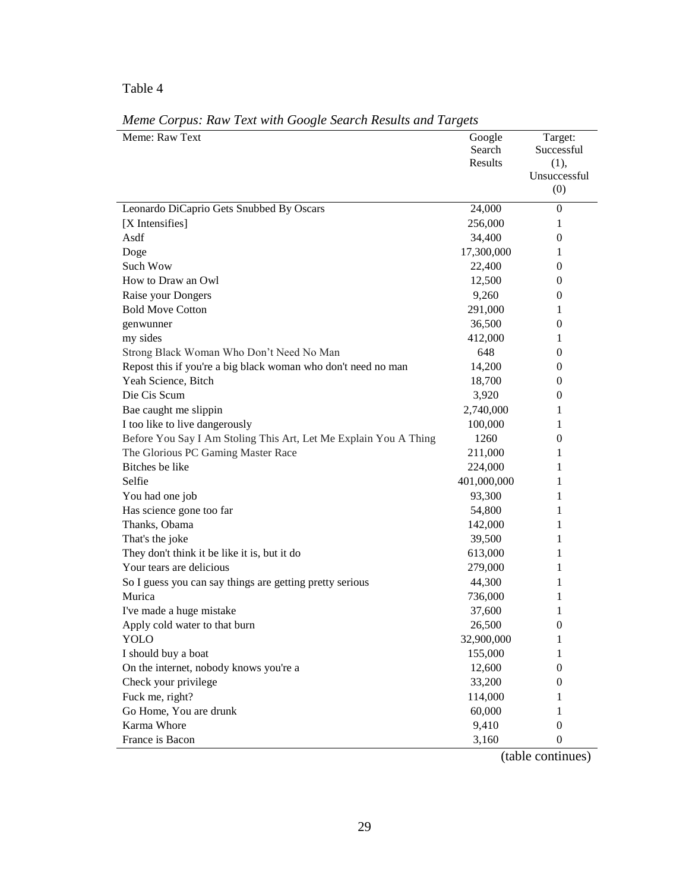## Table 4

| Meme: Raw Text                                                   | Google      | Target:        |
|------------------------------------------------------------------|-------------|----------------|
|                                                                  | Search      | Successful     |
|                                                                  | Results     | (1),           |
|                                                                  |             | Unsuccessful   |
|                                                                  |             | (0)            |
| Leonardo DiCaprio Gets Snubbed By Oscars                         | 24,000      | $\overline{0}$ |
| [X Intensifies]                                                  | 256,000     | 1              |
| Asdf                                                             | 34,400      | 0              |
| Doge                                                             | 17,300,000  | 1              |
| Such Wow                                                         | 22,400      | 0              |
| How to Draw an Owl                                               | 12,500      | 0              |
| Raise your Dongers                                               | 9,260       | $\bf{0}$       |
| <b>Bold Move Cotton</b>                                          | 291,000     | 1              |
| genwunner                                                        | 36,500      | 0              |
| my sides                                                         | 412,000     | 1              |
| Strong Black Woman Who Don't Need No Man                         | 648         | 0              |
| Repost this if you're a big black woman who don't need no man    | 14,200      | 0              |
| Yeah Science, Bitch                                              | 18,700      | 0              |
| Die Cis Scum                                                     | 3,920       | 0              |
| Bae caught me slippin                                            | 2,740,000   | 1              |
| I too like to live dangerously                                   | 100,000     | 1              |
| Before You Say I Am Stoling This Art, Let Me Explain You A Thing | 1260        | 0              |
| The Glorious PC Gaming Master Race                               | 211,000     | 1              |
| Bitches be like                                                  | 224,000     | 1              |
| Selfie                                                           | 401,000,000 | 1              |
| You had one job                                                  | 93,300      | 1              |
| Has science gone too far                                         | 54,800      | 1              |
| Thanks, Obama                                                    | 142,000     | 1              |
| That's the joke                                                  | 39,500      | 1              |
| They don't think it be like it is, but it do                     | 613,000     | 1              |
| Your tears are delicious                                         | 279,000     | 1              |
| So I guess you can say things are getting pretty serious         | 44,300      | 1              |
| Murica                                                           | 736,000     | 1              |
| I've made a huge mistake                                         | 37,600      | 1              |
| Apply cold water to that burn                                    | 26,500      | 0              |
| YOLO                                                             | 32,900,000  | 1              |
| I should buy a boat                                              | 155,000     | 1              |
| On the internet, nobody knows you're a                           | 12,600      | $\overline{0}$ |
| Check your privilege                                             | 33,200      | 0              |
| Fuck me, right?                                                  | 114,000     | 1              |
| Go Home, You are drunk                                           | 60,000      | 1              |
| Karma Whore                                                      | 9,410       | $\mathbf{0}$   |
| France is Bacon                                                  | 3,160       | $\mathbf{0}$   |

*Meme Corpus: Raw Text with Google Search Results and Targets*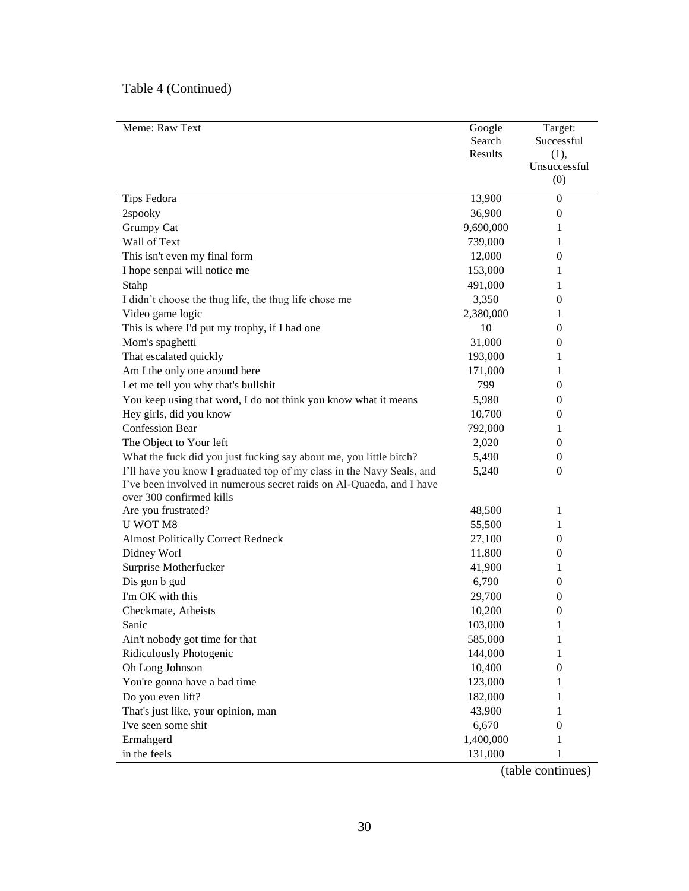| Meme: Raw Text                                                        | Google    | Target:      |
|-----------------------------------------------------------------------|-----------|--------------|
|                                                                       | Search    | Successful   |
|                                                                       | Results   | (1),         |
|                                                                       |           | Unsuccessful |
|                                                                       |           | (0)          |
| Tips Fedora                                                           | 13,900    | $\mathbf{0}$ |
| 2spooky                                                               | 36,900    | 0            |
| Grumpy Cat                                                            | 9,690,000 | 1            |
| Wall of Text                                                          | 739,000   | 1            |
| This isn't even my final form                                         | 12,000    | 0            |
| I hope senpai will notice me                                          | 153,000   | 1            |
| Stahp                                                                 | 491,000   | 1            |
| I didn't choose the thug life, the thug life chose me                 | 3,350     | 0            |
| Video game logic                                                      | 2,380,000 | 1            |
| This is where I'd put my trophy, if I had one                         | 10        | 0            |
| Mom's spaghetti                                                       | 31,000    | 0            |
| That escalated quickly                                                | 193,000   | 1            |
| Am I the only one around here                                         | 171,000   | 1            |
| Let me tell you why that's bullshit                                   | 799       | 0            |
| You keep using that word, I do not think you know what it means       | 5,980     | 0            |
| Hey girls, did you know                                               | 10,700    | 0            |
| <b>Confession Bear</b>                                                | 792,000   | 1            |
| The Object to Your left                                               | 2,020     | 0            |
| What the fuck did you just fucking say about me, you little bitch?    | 5,490     | 0            |
| I'll have you know I graduated top of my class in the Navy Seals, and | 5,240     | 0            |
| I've been involved in numerous secret raids on Al-Quaeda, and I have  |           |              |
| over 300 confirmed kills                                              |           |              |
| Are you frustrated?                                                   | 48,500    | 1            |
| U WOT M8                                                              | 55,500    | 1            |
| <b>Almost Politically Correct Redneck</b>                             | 27,100    | 0            |
| Didney Worl                                                           | 11,800    | $\mathbf{0}$ |
| Surprise Motherfucker                                                 | 41,900    | 1            |
| Dis gon b gud                                                         | 6,790     | 0            |
| I'm OK with this                                                      | 29,700    | 0            |
| Checkmate, Atheists                                                   | 10,200    | 0            |
| Sanic                                                                 | 103,000   | $\mathbf 1$  |
| Ain't nobody got time for that                                        | 585,000   | 1            |
| Ridiculously Photogenic                                               | 144,000   | 1            |
| Oh Long Johnson                                                       | 10,400    | 0            |
| You're gonna have a bad time                                          | 123,000   | 1            |
| Do you even lift?                                                     | 182,000   | 1            |
| That's just like, your opinion, man                                   | 43,900    | 1            |
| I've seen some shit                                                   | 6,670     | 0            |
| Ermahgerd                                                             | 1,400,000 | 1            |
| in the feels                                                          | 131,000   | 1            |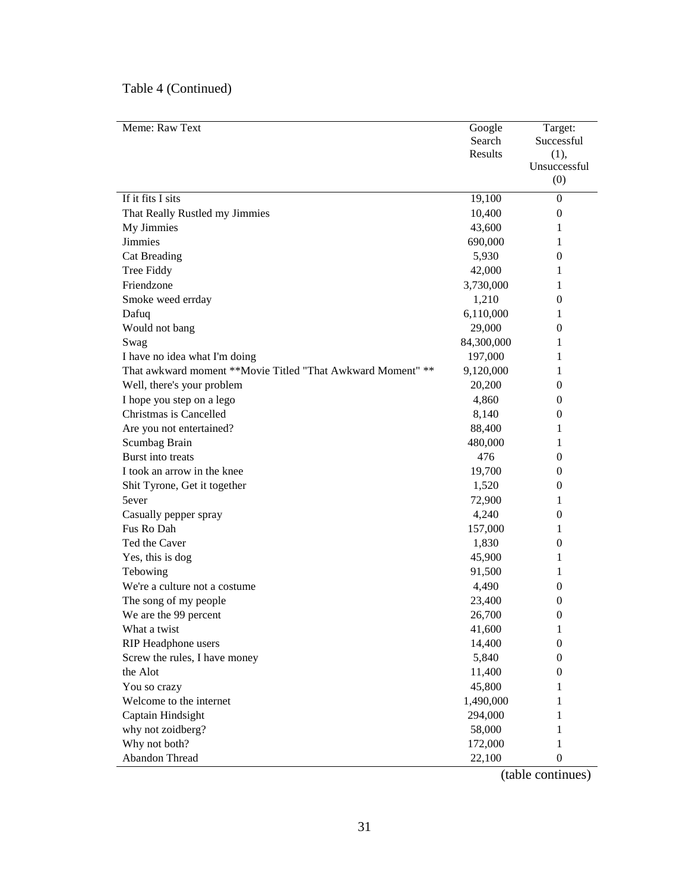| Meme: Raw Text                                              | Google     | Target:          |
|-------------------------------------------------------------|------------|------------------|
|                                                             | Search     | Successful       |
|                                                             | Results    | (1),             |
|                                                             |            | Unsuccessful     |
|                                                             |            | (0)              |
| If it fits I sits                                           | 19,100     | $\boldsymbol{0}$ |
| That Really Rustled my Jimmies                              | 10,400     | 0                |
| My Jimmies                                                  | 43,600     | 1                |
| Jimmies                                                     | 690,000    | 1                |
| <b>Cat Breading</b>                                         | 5,930      | 0                |
| Tree Fiddy                                                  | 42,000     | 1                |
| Friendzone                                                  | 3,730,000  | 1                |
| Smoke weed errday                                           | 1,210      | 0                |
| Dafuq                                                       | 6,110,000  | 1                |
| Would not bang                                              | 29,000     | 0                |
| Swag                                                        | 84,300,000 | 1                |
| I have no idea what I'm doing                               | 197,000    | 1                |
| That awkward moment **Movie Titled "That Awkward Moment" ** | 9,120,000  | 1                |
| Well, there's your problem                                  | 20,200     | 0                |
| I hope you step on a lego                                   | 4,860      | 0                |
| Christmas is Cancelled                                      | 8,140      | 0                |
| Are you not entertained?                                    | 88,400     | 1                |
| Scumbag Brain                                               | 480,000    | 1                |
| Burst into treats                                           | 476        | 0                |
| I took an arrow in the knee                                 | 19,700     | 0                |
| Shit Tyrone, Get it together                                | 1,520      | 0                |
| 5ever                                                       | 72,900     | 1                |
| Casually pepper spray                                       | 4,240      | 0                |
| Fus Ro Dah                                                  | 157,000    | 1                |
| Ted the Caver                                               | 1,830      | 0                |
| Yes, this is dog                                            | 45,900     | 1                |
| Tebowing                                                    | 91,500     | 1                |
| We're a culture not a costume                               | 4,490      | 0                |
| The song of my people                                       | 23,400     | 0                |
| We are the 99 percent                                       | 26,700     | $\mathbf{0}$     |
| What a twist                                                | 41,600     | 1                |
| RIP Headphone users                                         | 14,400     | $\boldsymbol{0}$ |
| Screw the rules, I have money                               | 5,840      | $\overline{0}$   |
| the Alot                                                    | 11,400     | $\boldsymbol{0}$ |
| You so crazy                                                | 45,800     | 1                |
| Welcome to the internet                                     | 1,490,000  | 1                |
| Captain Hindsight                                           | 294,000    | 1                |
| why not zoidberg?                                           | 58,000     | 1                |
| Why not both?                                               | 172,000    | 1                |
| Abandon Thread                                              | 22,100     | $\boldsymbol{0}$ |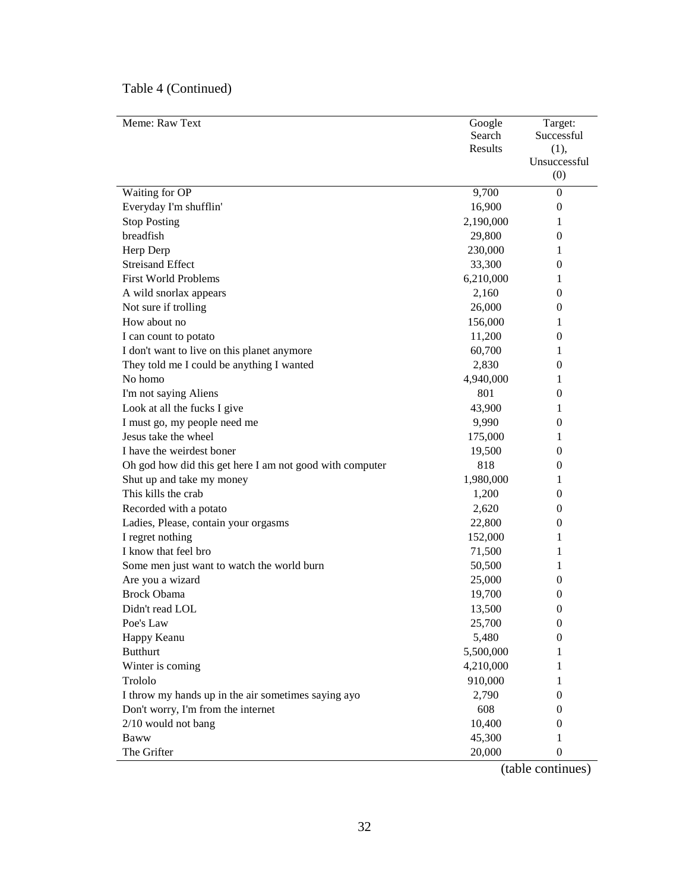| Meme: Raw Text                                           | Google    | Target:          |
|----------------------------------------------------------|-----------|------------------|
|                                                          | Search    | Successful       |
|                                                          | Results   | (1),             |
|                                                          |           | Unsuccessful     |
|                                                          |           | (0)              |
| Waiting for OP                                           | 9,700     | $\overline{0}$   |
| Everyday I'm shufflin'                                   | 16,900    | 0                |
| <b>Stop Posting</b>                                      | 2,190,000 | 1                |
| breadfish                                                | 29,800    | 0                |
| Herp Derp                                                | 230,000   | 1                |
| <b>Streisand Effect</b>                                  | 33,300    | 0                |
| <b>First World Problems</b>                              | 6,210,000 | 1                |
| A wild snorlax appears                                   | 2,160     | 0                |
| Not sure if trolling                                     | 26,000    | 0                |
| How about no                                             | 156,000   | 1                |
| I can count to potato                                    | 11,200    | 0                |
| I don't want to live on this planet anymore              | 60,700    | 1                |
| They told me I could be anything I wanted                | 2,830     | 0                |
| No homo                                                  | 4,940,000 | 1                |
| I'm not saying Aliens                                    | 801       | 0                |
| Look at all the fucks I give                             | 43,900    | 1                |
| I must go, my people need me                             | 9,990     | 0                |
| Jesus take the wheel                                     | 175,000   | 1                |
| I have the weirdest boner                                | 19,500    | 0                |
| Oh god how did this get here I am not good with computer | 818       | 0                |
| Shut up and take my money                                | 1,980,000 | 1                |
| This kills the crab                                      | 1,200     | 0                |
| Recorded with a potato                                   | 2,620     | 0                |
| Ladies, Please, contain your orgasms                     | 22,800    | 0                |
| I regret nothing                                         | 152,000   | 1                |
| I know that feel bro                                     | 71,500    | 1                |
| Some men just want to watch the world burn               | 50,500    | 1                |
| Are you a wizard                                         | 25,000    | 0                |
| <b>Brock Obama</b>                                       | 19,700    | 0                |
| Didn't read LOL                                          | 13,500    | 0                |
| Poe's Law                                                | 25,700    | $\boldsymbol{0}$ |
| Happy Keanu                                              | 5,480     | $\overline{0}$   |
| <b>Butthurt</b>                                          | 5,500,000 | 1                |
| Winter is coming                                         | 4,210,000 | 1                |
| Trololo                                                  | 910,000   | 1                |
| I throw my hands up in the air sometimes saying ayo      | 2,790     | 0                |
| Don't worry, I'm from the internet                       | 608       | 0                |
| 2/10 would not bang                                      | 10,400    | 0                |
| <b>Baww</b>                                              | 45,300    | 1                |
| The Grifter                                              | 20,000    | 0                |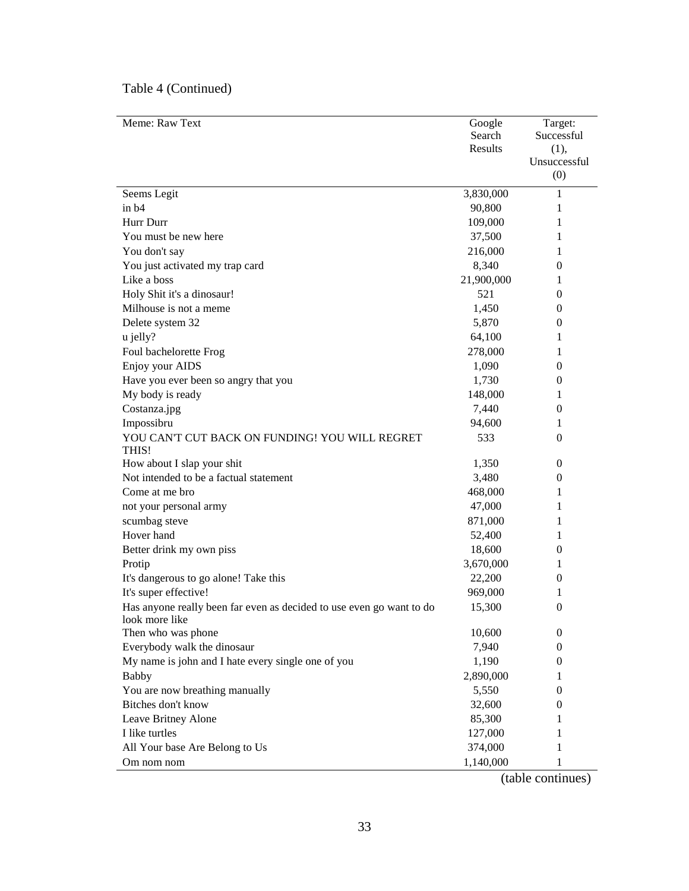| Meme: Raw Text                                                       | Google         | Target:          |
|----------------------------------------------------------------------|----------------|------------------|
|                                                                      | Search         | Successful       |
|                                                                      | <b>Results</b> | (1),             |
|                                                                      |                | Unsuccessful     |
|                                                                      |                | (0)              |
| Seems Legit                                                          | 3,830,000      | $\mathbf{1}$     |
| $\sin b4$                                                            | 90,800         | 1                |
| Hurr Durr                                                            | 109,000        | 1                |
| You must be new here                                                 | 37,500         | 1                |
| You don't say                                                        | 216,000        | 1                |
| You just activated my trap card                                      | 8,340          | 0                |
| Like a boss                                                          | 21,900,000     | 1                |
| Holy Shit it's a dinosaur!                                           | 521            | 0                |
| Milhouse is not a meme                                               | 1,450          | 0                |
| Delete system 32                                                     | 5,870          | 0                |
| u jelly?                                                             | 64,100         | 1                |
| Foul bachelorette Frog                                               | 278,000        | 1                |
| Enjoy your AIDS                                                      | 1,090          | 0                |
| Have you ever been so angry that you                                 | 1,730          | 0                |
| My body is ready                                                     | 148,000        | 1                |
| Costanza.jpg                                                         | 7,440          | $\mathbf{0}$     |
| Impossibru                                                           | 94,600         | 1                |
| YOU CAN'T CUT BACK ON FUNDING! YOU WILL REGRET                       | 533            | 0                |
| THIS!                                                                |                |                  |
| How about I slap your shit                                           | 1,350          | $\mathbf{0}$     |
| Not intended to be a factual statement                               | 3,480          | $\mathbf{0}$     |
| Come at me bro                                                       | 468,000        | 1                |
| not your personal army                                               | 47,000         | 1                |
| scumbag steve                                                        | 871,000        | 1                |
| Hover hand                                                           | 52,400         | 1                |
| Better drink my own piss                                             | 18,600         | 0                |
| Protip                                                               | 3,670,000      | 1                |
| It's dangerous to go alone! Take this                                | 22,200         | $\mathbf{0}$     |
| It's super effective!                                                | 969,000        | 1                |
| Has anyone really been far even as decided to use even go want to do | 15,300         | $\boldsymbol{0}$ |
| look more like                                                       |                |                  |
| Then who was phone                                                   | 10,600         | $\mathbf{0}$     |
| Everybody walk the dinosaur                                          | 7,940          | 0                |
| My name is john and I hate every single one of you                   | 1,190          | 0                |
| <b>Babby</b>                                                         | 2,890,000      | 1                |
| You are now breathing manually                                       | 5,550          | 0                |
| Bitches don't know                                                   | 32,600         | 0                |
| Leave Britney Alone                                                  | 85,300         | 1                |
| I like turtles                                                       | 127,000        | 1                |
| All Your base Are Belong to Us                                       | 374,000        | 1                |
| Om nom nom                                                           | 1,140,000      | 1                |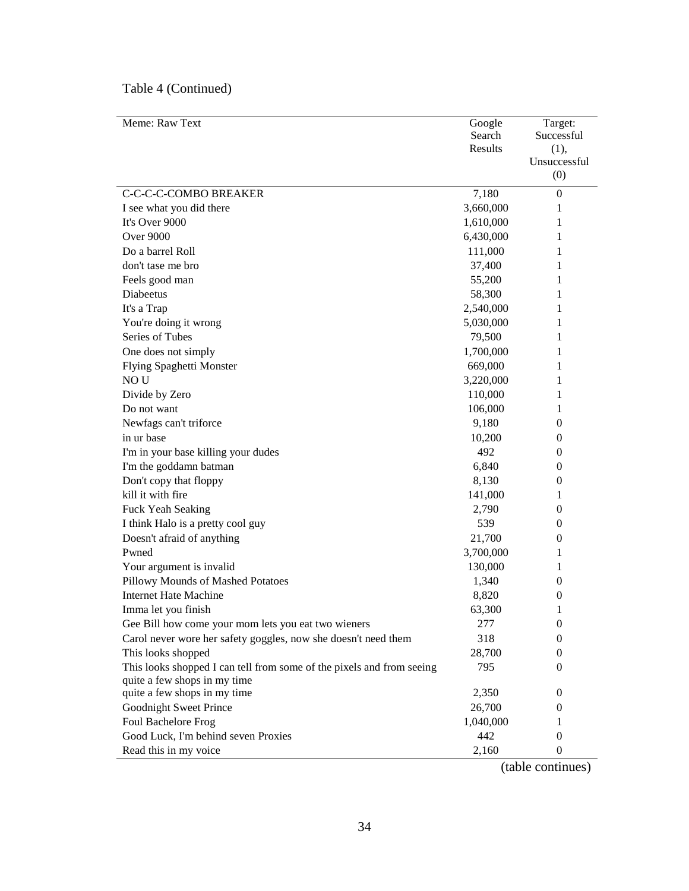| Meme: Raw Text                                                        | Google    | Target:          |
|-----------------------------------------------------------------------|-----------|------------------|
|                                                                       | Search    | Successful       |
|                                                                       | Results   | (1),             |
|                                                                       |           | Unsuccessful     |
|                                                                       |           | (0)              |
| C-C-C-C-COMBO BREAKER                                                 | 7,180     | $\boldsymbol{0}$ |
| I see what you did there                                              | 3,660,000 | 1                |
| It's Over 9000                                                        | 1,610,000 | 1                |
| Over 9000                                                             | 6,430,000 | 1                |
| Do a barrel Roll                                                      | 111,000   | 1                |
| don't tase me bro                                                     | 37,400    | 1                |
| Feels good man                                                        | 55,200    | 1                |
| Diabeetus                                                             | 58,300    | 1                |
| It's a Trap                                                           | 2,540,000 | 1                |
| You're doing it wrong                                                 | 5,030,000 | 1                |
| Series of Tubes                                                       | 79,500    | 1                |
| One does not simply                                                   | 1,700,000 | 1                |
| <b>Flying Spaghetti Monster</b>                                       | 669,000   | 1                |
| NO <sub>U</sub>                                                       | 3,220,000 | 1                |
| Divide by Zero                                                        | 110,000   | 1                |
| Do not want                                                           | 106,000   | 1                |
| Newfags can't triforce                                                | 9,180     | $\mathbf{0}$     |
| in ur base                                                            | 10,200    | $\bf{0}$         |
| I'm in your base killing your dudes                                   | 492       | $\bf{0}$         |
| I'm the goddamn batman                                                | 6,840     | $\theta$         |
| Don't copy that floppy                                                | 8,130     | $\bf{0}$         |
| kill it with fire                                                     | 141,000   | 1                |
| Fuck Yeah Seaking                                                     | 2,790     | $\mathbf{0}$     |
| I think Halo is a pretty cool guy                                     | 539       | $\mathbf{0}$     |
| Doesn't afraid of anything                                            | 21,700    | $\mathbf{0}$     |
| Pwned                                                                 | 3,700,000 | 1                |
| Your argument is invalid                                              | 130,000   | 1                |
| Pillowy Mounds of Mashed Potatoes                                     | 1,340     | 0                |
| <b>Internet Hate Machine</b>                                          | 8,820     | $\theta$         |
| Imma let you finish                                                   | 63,300    | 1                |
| Gee Bill how come your mom lets you eat two wieners                   | 277       | $\boldsymbol{0}$ |
| Carol never wore her safety goggles, now she doesn't need them        | 318       | $\overline{0}$   |
| This looks shopped                                                    | 28,700    | 0                |
| This looks shopped I can tell from some of the pixels and from seeing | 795       | 0                |
| quite a few shops in my time                                          |           |                  |
| quite a few shops in my time                                          | 2,350     | 0                |
| Goodnight Sweet Prince                                                | 26,700    | 0                |
| Foul Bachelore Frog                                                   | 1,040,000 | 1                |
| Good Luck, I'm behind seven Proxies                                   | 442       | 0                |
| Read this in my voice                                                 | 2,160     | $\mathbf{0}$     |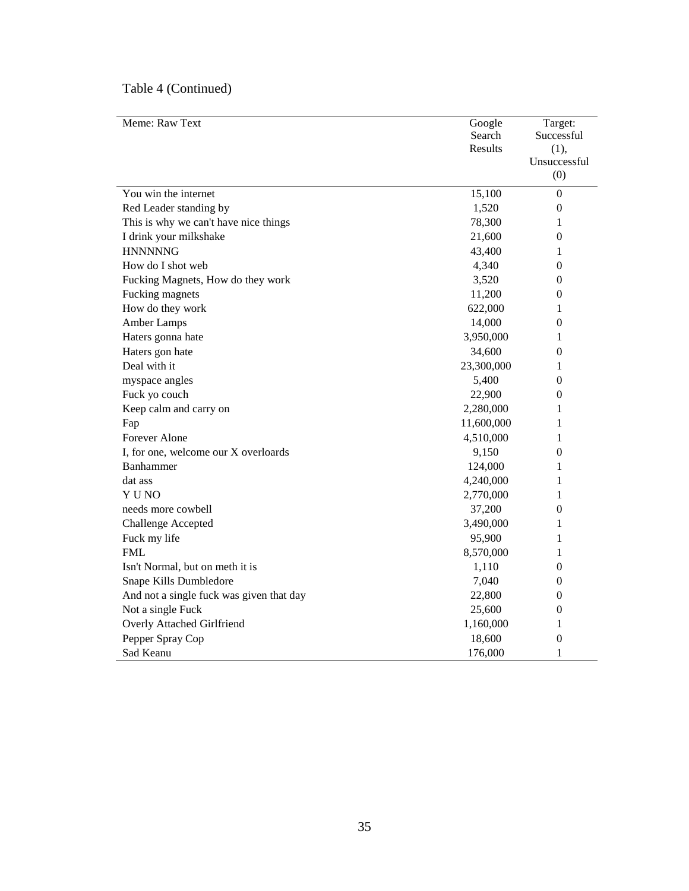| Meme: Raw Text                           | Google     | Target:          |
|------------------------------------------|------------|------------------|
|                                          | Search     | Successful       |
|                                          | Results    | (1),             |
|                                          |            | Unsuccessful     |
|                                          |            | (0)              |
| You win the internet                     | 15,100     | $\boldsymbol{0}$ |
| Red Leader standing by                   | 1,520      | $\boldsymbol{0}$ |
| This is why we can't have nice things    | 78,300     | 1                |
| I drink your milkshake                   | 21,600     | $\boldsymbol{0}$ |
| <b>HNNNNNG</b>                           | 43,400     | 1                |
| How do I shot web                        | 4,340      | $\theta$         |
| Fucking Magnets, How do they work        | 3,520      | $\boldsymbol{0}$ |
| Fucking magnets                          | 11,200     | $\boldsymbol{0}$ |
| How do they work                         | 622,000    | 1                |
| Amber Lamps                              | 14,000     | $\boldsymbol{0}$ |
| Haters gonna hate                        | 3,950,000  | 1                |
| Haters gon hate                          | 34,600     | $\boldsymbol{0}$ |
| Deal with it                             | 23,300,000 | 1                |
| myspace angles                           | 5,400      | 0                |
| Fuck yo couch                            | 22,900     | 0                |
| Keep calm and carry on                   | 2,280,000  | 1                |
| Fap                                      | 11,600,000 | 1                |
| Forever Alone                            | 4,510,000  | 1                |
| I, for one, welcome our X overloards     | 9,150      | 0                |
| Banhammer                                | 124,000    | 1                |
| dat ass                                  | 4,240,000  | 1                |
| Y U NO                                   | 2,770,000  | 1                |
| needs more cowbell                       | 37,200     | 0                |
| <b>Challenge Accepted</b>                | 3,490,000  | 1                |
| Fuck my life                             | 95,900     | 1                |
| <b>FML</b>                               | 8,570,000  | 1                |
| Isn't Normal, but on meth it is          | 1,110      | $\boldsymbol{0}$ |
| Snape Kills Dumbledore                   | 7,040      | 0                |
| And not a single fuck was given that day | 22,800     | $\boldsymbol{0}$ |
| Not a single Fuck                        | 25,600     | $\boldsymbol{0}$ |
| Overly Attached Girlfriend               | 1,160,000  | 1                |
| Pepper Spray Cop                         | 18,600     | $\boldsymbol{0}$ |
| Sad Keanu                                | 176,000    | 1                |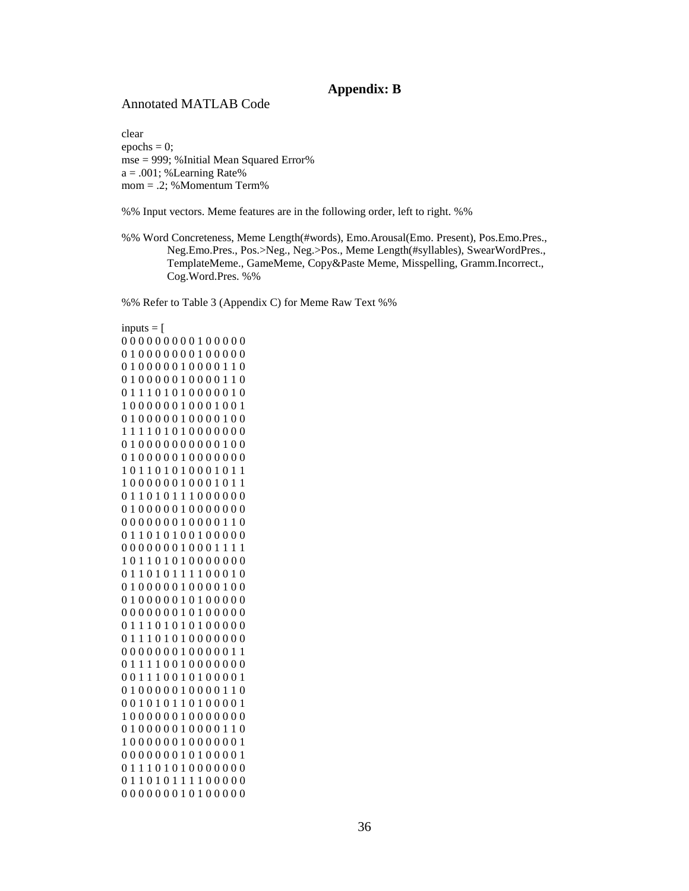## **Appendix: B**

### Annotated MATLAB Code

clear  $epochs = 0;$ mse = 999; %Initial Mean Squared Error% a = .001; %Learning Rate% mom = .2; %Momentum Term%

%% Input vectors. Meme features are in the following order, left to right. %%

%% Word Concreteness, Meme Length(#words), Emo.Arousal(Emo. Present), Pos.Emo.Pres., Neg.Emo.Pres., Pos.>Neg., Neg.>Pos., Meme Length(#syllables), SwearWordPres., TemplateMeme., GameMeme, Copy&Paste Meme, Misspelling, Gramm.Incorrect., Cog.Word.Pres. %%

%% Refer to Table 3 (Appendix C) for Meme Raw Text %%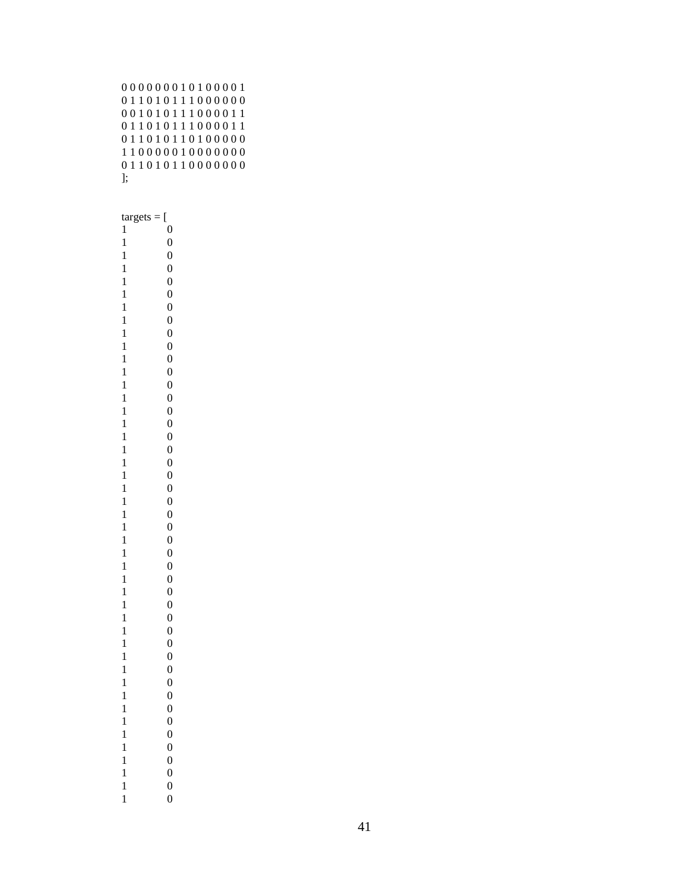|          |  |  |  |  |  |  | 000000010100001 |  |
|----------|--|--|--|--|--|--|-----------------|--|
|          |  |  |  |  |  |  | 011010111000000 |  |
|          |  |  |  |  |  |  | 001010111000011 |  |
|          |  |  |  |  |  |  | 011010111000011 |  |
|          |  |  |  |  |  |  | 011010110100000 |  |
|          |  |  |  |  |  |  | 110000010000000 |  |
|          |  |  |  |  |  |  | 011010110000000 |  |
| <b>E</b> |  |  |  |  |  |  |                 |  |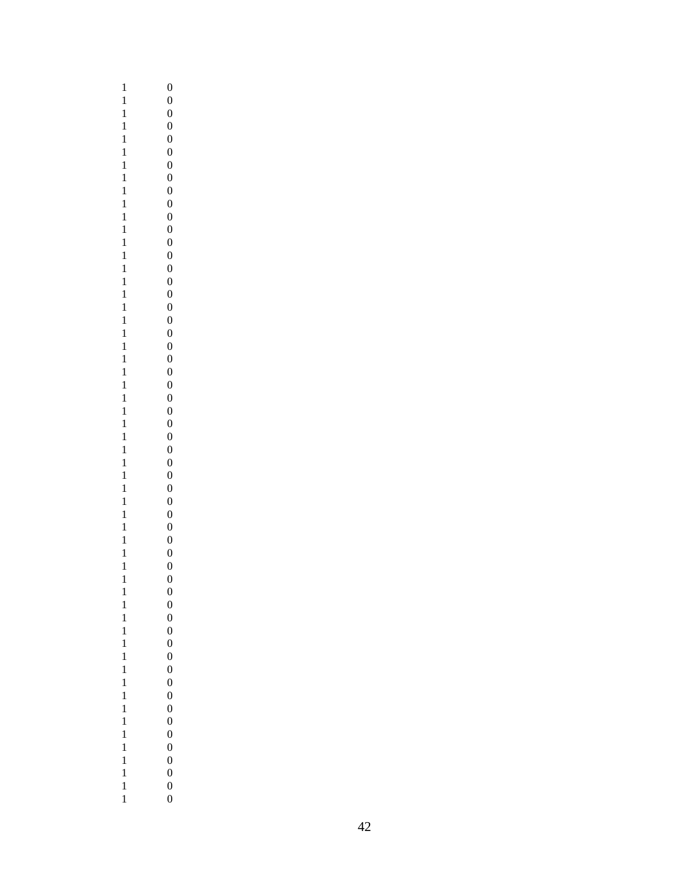| $\mathbf{1}$ |  |
|--------------|--|
| $\mathbf{1}$ |  |
|              |  |
| $\mathbf{1}$ |  |
| $\mathbf{1}$ |  |
| $\mathbf{1}$ |  |
|              |  |
| $\mathbf{1}$ |  |
| $\mathbf{1}$ |  |
| $\mathbf{1}$ |  |
|              |  |
| $\mathbf{1}$ |  |
| $\mathbf{1}$ |  |
|              |  |
| $\mathbf{1}$ |  |
| $\mathbf{1}$ |  |
|              |  |
| $\mathbf{1}$ |  |
| $\mathbf{1}$ |  |
| $\mathbf{1}$ |  |
|              |  |
| $\mathbf{1}$ |  |
| $\mathbf{1}$ |  |
|              |  |
| $\mathbf{1}$ |  |
| $\mathbf{1}$ |  |
| $\mathbf{1}$ |  |
|              |  |
| $\mathbf{1}$ |  |
| $\mathbf{1}$ |  |
|              |  |
| $\mathbf{1}$ |  |
| $\mathbf{1}$ |  |
| $\mathbf{1}$ |  |
|              |  |
| $\mathbf{1}$ |  |
| $\mathbf{1}$ |  |
| $\mathbf{1}$ |  |
|              |  |
| $\mathbf{1}$ |  |
| $\mathbf{1}$ |  |
| $\mathbf{1}$ |  |
|              |  |
| $\mathbf{1}$ |  |
| $\mathbf{1}$ |  |
|              |  |
| $\mathbf{1}$ |  |
| $\mathbf{1}$ |  |
| $\mathbf{1}$ |  |
|              |  |
| $\mathbf{1}$ |  |
| $\mathbf{1}$ |  |
|              |  |
| $\mathbf{1}$ |  |
| $\mathbf{1}$ |  |
| $\mathbf{1}$ |  |
|              |  |
| $\mathbf{1}$ |  |
| $\mathbf{1}$ |  |
| $\mathbf{1}$ |  |
|              |  |
| $\mathbf{1}$ |  |
| $\mathbf{1}$ |  |
| $\mathbf{1}$ |  |
|              |  |
| $\mathbf{1}$ |  |
| $\mathbf{1}$ |  |
| $\mathbf{1}$ |  |
|              |  |
| $\mathbf{1}$ |  |
| $\mathbf{1}$ |  |
| $\mathbf{1}$ |  |
|              |  |
| $\mathbf{1}$ |  |
|              |  |
| $\mathbf{1}$ |  |
| $\mathbf{1}$ |  |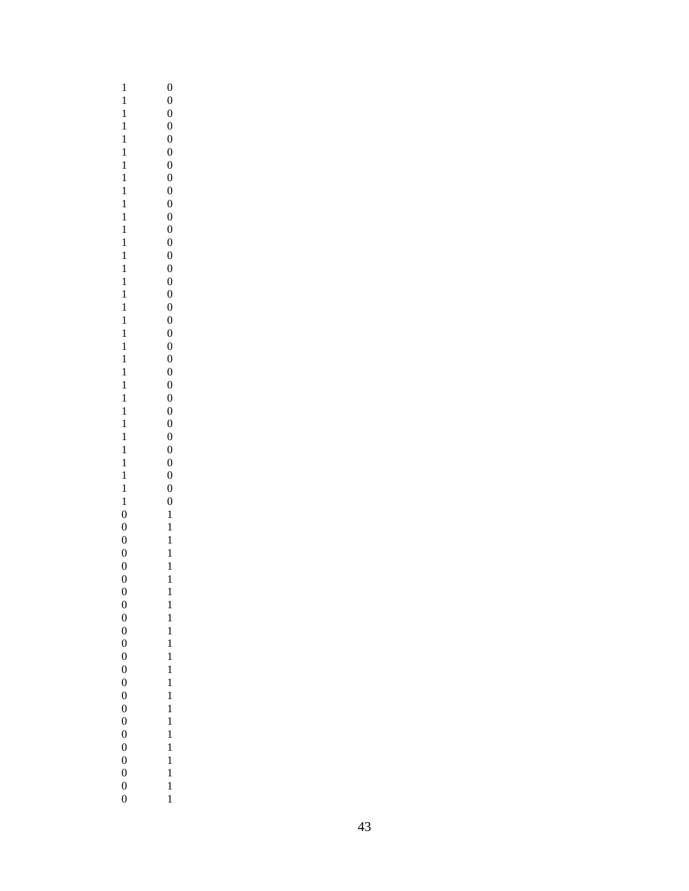| $\mathbf{1}$                     | $\boldsymbol{0}$                     |
|----------------------------------|--------------------------------------|
|                                  | $\boldsymbol{0}$                     |
| $\mathbf{1}$                     | $\boldsymbol{0}$                     |
| $\mathbf{1}$                     | $\boldsymbol{0}$                     |
| $\mathbf{1}$                     | $\boldsymbol{0}$                     |
| $\mathbf{1}$                     | $\boldsymbol{0}$                     |
| $\mathbf{1}$<br>$\mathbf{1}$     | $\boldsymbol{0}$<br>$\boldsymbol{0}$ |
| $\mathbf{1}$                     | $\boldsymbol{0}$                     |
| $\mathbf{1}$                     | $\overline{0}$                       |
| $\mathbf{1}$                     | $\boldsymbol{0}$                     |
| $\mathbf{1}$                     | $\boldsymbol{0}$                     |
| $\mathbf{1}$                     | $\boldsymbol{0}$                     |
| $\mathbf{1}$                     | $\boldsymbol{0}$                     |
| $\mathbf{1}$                     | $\boldsymbol{0}$                     |
| $\mathbf{1}$                     | $\boldsymbol{0}$                     |
| $\mathbf{1}$                     | $\boldsymbol{0}$                     |
| $\mathbf{1}$                     | $\boldsymbol{0}$                     |
| $\mathbf{1}$                     | $\boldsymbol{0}$                     |
| $\mathbf{1}$                     | $\boldsymbol{0}$                     |
| $\mathbf{1}$                     | $\boldsymbol{0}$                     |
| $\mathbf{1}$                     | $\boldsymbol{0}$                     |
| $\mathbf{1}$                     | $\boldsymbol{0}$                     |
| $\mathbf{1}$                     | $\boldsymbol{0}$                     |
| $\mathbf{1}$<br>$\mathbf{1}$     | $\overline{0}$                       |
| $\mathbf{1}$                     | $\boldsymbol{0}$<br>$\boldsymbol{0}$ |
| $\mathbf{1}$                     | $\boldsymbol{0}$                     |
| $\mathbf{1}$                     | $\boldsymbol{0}$                     |
| $\mathbf{1}$                     | $\boldsymbol{0}$                     |
| $\mathbf{1}$                     | $\boldsymbol{0}$                     |
| $\mathbf{1}$                     | $\boldsymbol{0}$                     |
| $\mathbf{1}$                     | $\boldsymbol{0}$                     |
| $\boldsymbol{0}$                 | $\mathbf{1}$                         |
| $\boldsymbol{0}$                 | $\mathbf{1}$                         |
| $\boldsymbol{0}$                 | $\mathbf{1}$                         |
|                                  |                                      |
| $\overline{0}$                   | $\mathbf{1}$                         |
| $\boldsymbol{0}$                 | $\mathbf{1}$                         |
| $\boldsymbol{0}$                 | $\mathbf{1}$                         |
| $\boldsymbol{0}$                 | $\mathbf{1}$                         |
| $\boldsymbol{0}$                 | $\mathbf{1}$                         |
| $\boldsymbol{0}$                 | $\mathbf{1}$                         |
| $\mathbf{0}$                     | $\mathbf{1}$                         |
| $\overline{0}$                   | $\mathbf{1}$                         |
| $\boldsymbol{0}$                 | $\mathbf{1}$                         |
| $\overline{0}$                   | $\mathbf{1}$                         |
| $\overline{0}$                   | $\mathbf{1}$                         |
| $\overline{0}$                   | $\mathbf{1}$                         |
| $\overline{0}$<br>$\overline{0}$ | $\mathbf{1}$<br>$\mathbf{1}$         |
| $\overline{0}$                   | $\mathbf{1}$                         |
| $\overline{0}$                   | $\mathbf{1}$                         |
| $\overline{0}$                   | $\mathbf{1}$                         |
| $\overline{0}$                   | $\mathbf{1}$                         |
| $\overline{0}$<br>$\overline{0}$ | $\mathbf{1}$<br>$\mathbf{1}$         |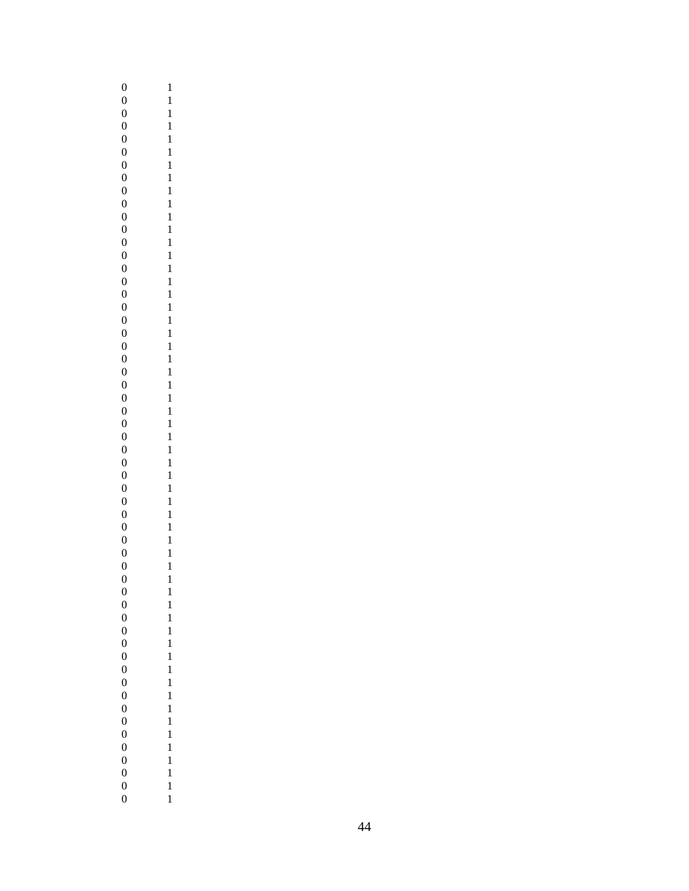| $\boldsymbol{0}$ | $\mathbf{1}$ |
|------------------|--------------|
| $\boldsymbol{0}$ | $\mathbf{1}$ |
| $\boldsymbol{0}$ | $\mathbf{1}$ |
| $\overline{0}$   | $\mathbf{1}$ |
| $\boldsymbol{0}$ | $\mathbf{1}$ |
| $\boldsymbol{0}$ | $\mathbf{1}$ |
| $\boldsymbol{0}$ | $\mathbf{1}$ |
| $\boldsymbol{0}$ | $\mathbf{1}$ |
| $\boldsymbol{0}$ | $\mathbf{1}$ |
| $\boldsymbol{0}$ | $\mathbf{1}$ |
|                  |              |
| $\boldsymbol{0}$ | $\mathbf{1}$ |
| $\boldsymbol{0}$ | $\mathbf{1}$ |
| $\boldsymbol{0}$ | $\mathbf{1}$ |
| $\boldsymbol{0}$ | $\mathbf{1}$ |
| $\boldsymbol{0}$ | $\mathbf{1}$ |
| $\boldsymbol{0}$ | $\mathbf{1}$ |
| $\boldsymbol{0}$ | $\mathbf{1}$ |
| $\boldsymbol{0}$ | $\mathbf{1}$ |
| $\boldsymbol{0}$ | $\mathbf{1}$ |
| $\boldsymbol{0}$ | $\mathbf{1}$ |
| $\boldsymbol{0}$ | $\mathbf{1}$ |
| $\boldsymbol{0}$ | $\mathbf{1}$ |
| $\boldsymbol{0}$ | $\mathbf{1}$ |
| $\boldsymbol{0}$ | $\mathbf{1}$ |
| $\overline{0}$   | $\mathbf{1}$ |
|                  |              |
| $\boldsymbol{0}$ | $\mathbf{1}$ |
| $\boldsymbol{0}$ | $\mathbf{1}$ |
| $\boldsymbol{0}$ | $\mathbf{1}$ |
| $\boldsymbol{0}$ | $\mathbf{1}$ |
| $\boldsymbol{0}$ | $\mathbf{1}$ |
| $\boldsymbol{0}$ | $\mathbf{1}$ |
| $\boldsymbol{0}$ | $\mathbf{1}$ |
| $\boldsymbol{0}$ | $\mathbf{1}$ |
| $\boldsymbol{0}$ | $\mathbf{1}$ |
| $\boldsymbol{0}$ | $\mathbf{1}$ |
| $\boldsymbol{0}$ | $\mathbf{1}$ |
| $\boldsymbol{0}$ | $\mathbf{1}$ |
| $\boldsymbol{0}$ | $\mathbf{1}$ |
|                  |              |
| $\boldsymbol{0}$ | $\mathbf{1}$ |
| $\boldsymbol{0}$ | $\mathbf{1}$ |
| $\boldsymbol{0}$ | $\mathbf{1}$ |
| $\boldsymbol{0}$ | $\mathbf{1}$ |
| $\boldsymbol{0}$ | $\mathbf{1}$ |
| $\overline{0}$   | $\mathbf{1}$ |
| $\boldsymbol{0}$ | $\mathbf{1}$ |
| $\boldsymbol{0}$ | $\mathbf{1}$ |
| $\boldsymbol{0}$ | $\mathbf{1}$ |
| $\boldsymbol{0}$ | $\mathbf{1}$ |
| $\boldsymbol{0}$ | $\mathbf{1}$ |
| $\boldsymbol{0}$ | $\mathbf{1}$ |
| $\overline{0}$   | $\mathbf{1}$ |
| $\overline{0}$   | $\mathbf{1}$ |
|                  |              |
| $\boldsymbol{0}$ | $\mathbf{1}$ |
| $\boldsymbol{0}$ | $\mathbf{1}$ |
| $\boldsymbol{0}$ | $\mathbf{1}$ |
| $\boldsymbol{0}$ | $\mathbf{1}$ |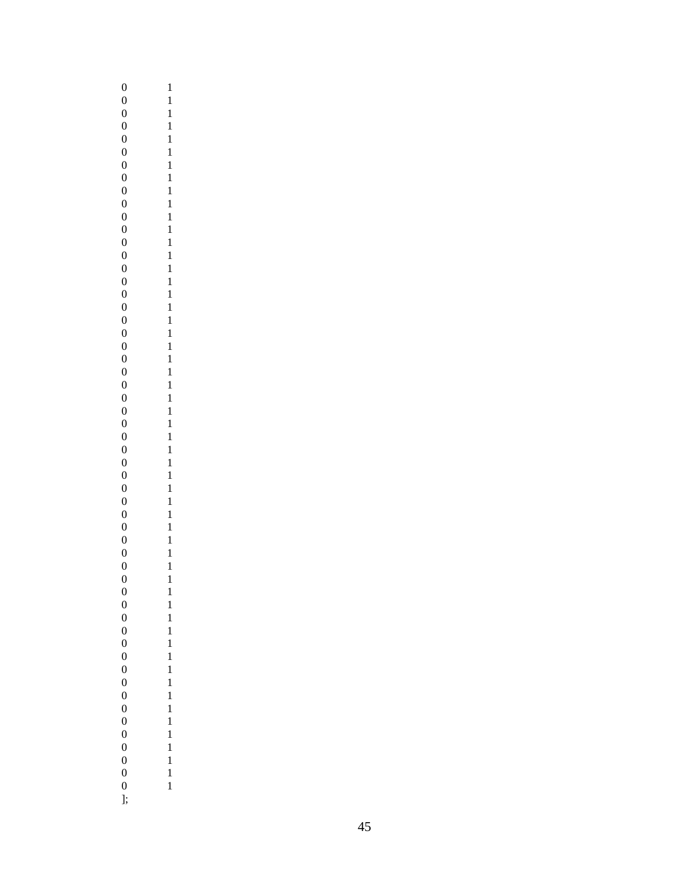| $\boldsymbol{0}$ | $\mathbf{1}$ |
|------------------|--------------|
| $\boldsymbol{0}$ | $\mathbf{1}$ |
| $\boldsymbol{0}$ | $\mathbf{1}$ |
| $\boldsymbol{0}$ | $\mathbf{1}$ |
| $\boldsymbol{0}$ | $\mathbf{1}$ |
| $\boldsymbol{0}$ | $\mathbf{1}$ |
| $\boldsymbol{0}$ | $\mathbf{1}$ |
| $\boldsymbol{0}$ | $\mathbf{1}$ |
| $\boldsymbol{0}$ | $\mathbf{1}$ |
| $\boldsymbol{0}$ |              |
|                  | $\mathbf{1}$ |
| $\boldsymbol{0}$ | $\mathbf{1}$ |
| $\boldsymbol{0}$ | $\mathbf{1}$ |
| $\boldsymbol{0}$ | $\mathbf{1}$ |
| $\boldsymbol{0}$ | $\mathbf{1}$ |
| $\boldsymbol{0}$ | $\mathbf{1}$ |
| $\boldsymbol{0}$ | $\mathbf{1}$ |
| $\boldsymbol{0}$ | $\mathbf{1}$ |
| $\boldsymbol{0}$ | $\mathbf{1}$ |
| $\boldsymbol{0}$ | $\mathbf{1}$ |
| $\boldsymbol{0}$ | $\mathbf{1}$ |
| $\boldsymbol{0}$ | $\mathbf{1}$ |
| $\boldsymbol{0}$ | $\mathbf{1}$ |
| $\boldsymbol{0}$ | $\mathbf{1}$ |
| $\boldsymbol{0}$ | $\mathbf{1}$ |
| $\boldsymbol{0}$ | $\mathbf{1}$ |
| $\boldsymbol{0}$ | $\mathbf{1}$ |
|                  |              |
| $\boldsymbol{0}$ | $\mathbf{1}$ |
| $\boldsymbol{0}$ | $\mathbf{1}$ |
| $\boldsymbol{0}$ | $\mathbf{1}$ |
| $\boldsymbol{0}$ | $\mathbf{1}$ |
| $\boldsymbol{0}$ | $\mathbf{1}$ |
| $\boldsymbol{0}$ | $\mathbf{1}$ |
| $\boldsymbol{0}$ | $\mathbf{1}$ |
| $\boldsymbol{0}$ | $\mathbf{1}$ |
| $\boldsymbol{0}$ | $\mathbf{1}$ |
| $\boldsymbol{0}$ | $\mathbf{1}$ |
| $\boldsymbol{0}$ | $\mathbf{1}$ |
| $\boldsymbol{0}$ | $\mathbf{1}$ |
| $\boldsymbol{0}$ | $\mathbf{1}$ |
| $\boldsymbol{0}$ | $\mathbf{1}$ |
| $\boldsymbol{0}$ | $\mathbf{1}$ |
| $\boldsymbol{0}$ | $\mathbf{1}$ |
|                  |              |
| $\boldsymbol{0}$ | $\mathbf{1}$ |
| $\boldsymbol{0}$ | $\mathbf{1}$ |
| $\boldsymbol{0}$ | $\mathbf{1}$ |
| $\boldsymbol{0}$ | $\mathbf{1}$ |
| $\overline{0}$   | $\mathbf{1}$ |
| $\boldsymbol{0}$ | $\mathbf{1}$ |
| $\boldsymbol{0}$ | $\mathbf{1}$ |
| $\boldsymbol{0}$ | $\mathbf{1}$ |
| $\boldsymbol{0}$ | $\mathbf{1}$ |
| $\boldsymbol{0}$ | $\mathbf{1}$ |
| $\boldsymbol{0}$ | $\mathbf{1}$ |
| $\boldsymbol{0}$ | $\mathbf{1}$ |
| $\boldsymbol{0}$ | $\mathbf{1}$ |
| ];               |              |
|                  |              |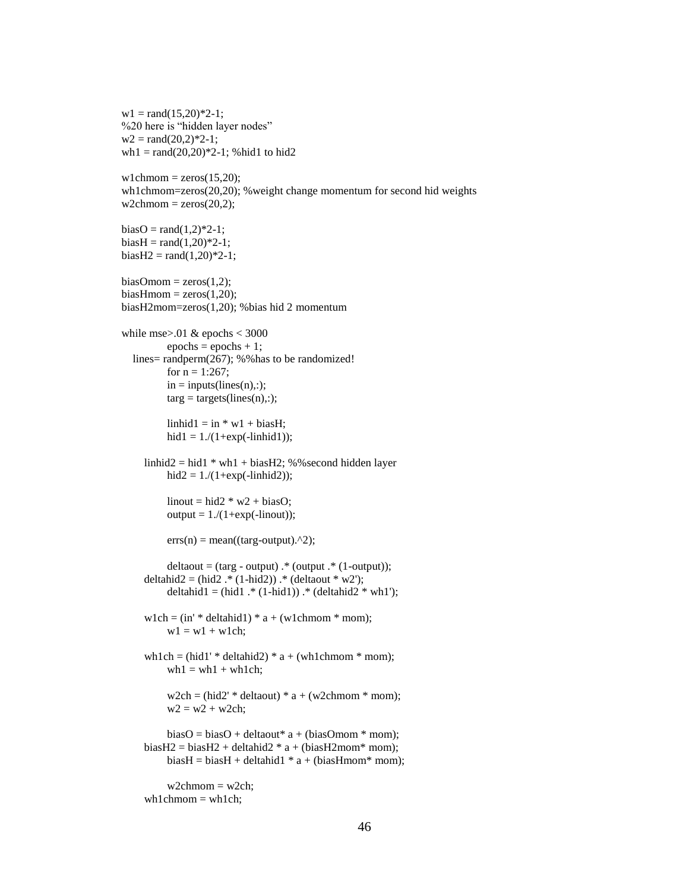$w1 = rand(15,20)*2-1;$ %20 here is "hidden layer nodes"  $w2 = rand(20,2)*2-1;$ wh1 = rand $(20,20)$ <sup>\*2-1</sup>; %hid1 to hid2  $wlchmom = zeros(15,20);$ wh1chmom=zeros(20,20); %weight change momentum for second hid weights  $w2chmom = zeros(20,2);$  $biasO = rand(1,2)*2-1;$  $biasH = rand(1,20)*2-1;$  $biasH2 = rand(1,20)*2-1;$  $biasOmom = zeros(1,2);$  $biasH$ mom = zeros $(1,20)$ ; biasH2mom=zeros(1,20); %bias hid 2 momentum while mse $> 01$  & epochs  $< 3000$  $epochs = epochs + 1;$  lines= randperm(267); %%has to be randomized! for  $n = 1:267$ ;  $in = inputs(lines(n),:);$  $\text{targ} = \text{targets}(\text{lines}(n))$ ;  $\text{linhid1} = \text{in} * \text{w1} + \text{biasH};$ hid $1 = 1./(1 + exp(-\text{linkid1}));$  $\text{linhid2} = \text{hid1} * \text{wh1} + \text{biasH2}$ ; %%second hidden layer  $hid2 = 1./(1 + exp(-link)$ ;  $linout = hid2 * w2 + biasO;$  $output = 1/(1+exp(-linout));$  $errs(n) = mean((targ-output).^2);$  $delta = (targ - output)$ .\* (output .\* (1-output)); deltahid2 =  $(hid2.*(1-hid2))$  .\*  $(deltaout * w2');$ deltahid $1 = (hid1. * (1-hid1))$ .  $*(deltahid2 * wh1');$ w1ch =  $(in' * deltahid1) * a + (wlchmom * mom);$  $w1 = w1 + w1$ ch; wh1ch =  $(hid1' * deltahid2) * a + (wh1chmom * mom);$  $wh1 = wh1 + wh1ch;$  $w2ch = (hid2' * deltaout) * a + (w2chmom * mom);$  $w2 = w2 + w2ch;$  $biasO = biasO + deltaout* a + (biasOmom* mom);$ biasH2 = biasH2 + deltahid2  $* a + (biasH2mom* mom);$  $biasH = biasH + deltahid1 * a + (biasHmom* mom);$  $w2chmom = w2ch;$  $wh1chmom = wh1ch;$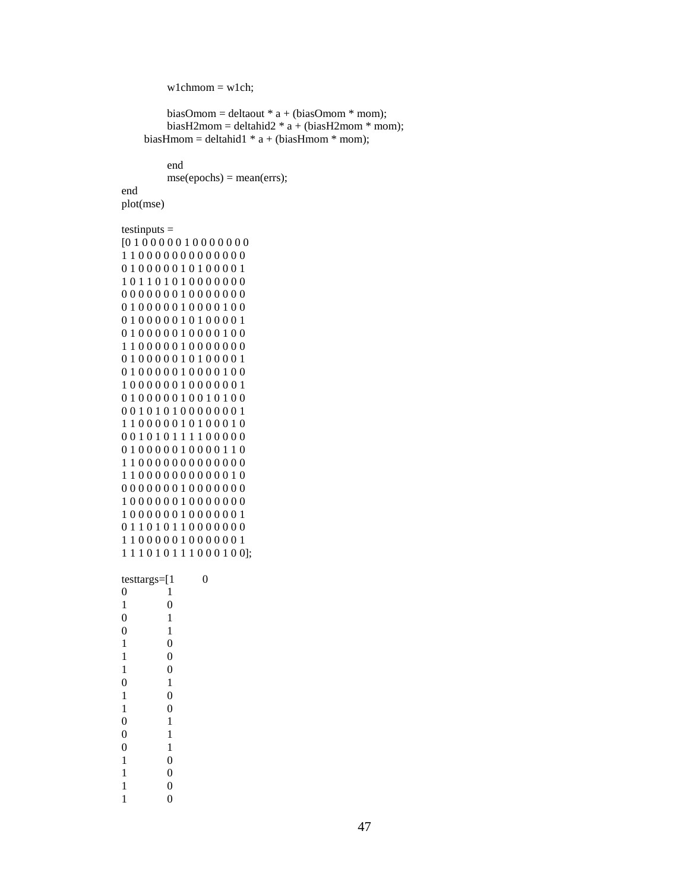```
wlchmom = w1ch;
```

```
biasOmom = deltaout * a + (biasOmom * mom);biasH2mom = deltahid2 * a + (biasH2mom * mom);biasHmom = deltahid1 * a + (biasHmom * mom);
```
end  $mse(epochs) = mean(errs);$ 

plot(mse)

end

testinputs =

```
[0 1 0 0 0 0 0 1 0 0 0 0 0 0 0
1 1 0 0 0 0 0 0 0 0 0 0 0 0 0
0 1 0 0 0 0 0 1 0 1 0 0 0 0 1
1 0 1 1 0 1 0 1 0 0 0 0 0 0 0
0 0 0 0 0 0 0 1 0 0 0 0 0 0 0
0 1 0 0 0 0 0 1 0 0 0 0 1 0 0
0 1 0 0 0 0 0 1 0 1 0 0 0 0 1
0 1 0 0 0 0 0 1 0 0 0 0 1 0 0
1 1 0 0 0 0 0 1 0 0 0 0 0 0 0
0 1 0 0 0 0 0 1 0 1 0 0 0 0 1
0 1 0 0 0 0 0 1 0 0 0 0 1 0 0
1 0 0 0 0 0 0 1 0 0 0 0 0 0 1
0 1 0 0 0 0 0 1 0 0 1 0 1 0 0
0 0 1 0 1 0 1 0 0 0 0 0 0 0 1
1 1 0 0 0 0 0 1 0 1 0 0 0 1 0
0 0 1 0 1 0 1 1 1 1 0 0 0 0 0
0 1 0 0 0 0 0 1 0 0 0 0 1 1 0
1 1 0 0 0 0 0 0 0 0 0 0 0 0 0
1 1 0 0 0 0 0 0 0 0 0 0 0 1 0
0 0 0 0 0 0 0 1 0 0 0 0 0 0 0
1 0 0 0 0 0 0 1 0 0 0 0 0 0 0
1 0 0 0 0 0 0 1 0 0 0 0 0 0 1
0 1 1 0 1 0 1 1 0 0 0 0 0 0 0
1 1 0 0 0 0 0 1 0 0 0 0 0 0 1
1 1 1 0 1 0 1 1 1 0 0 0 1 0 0];
```

| testtargs=[1     |                  | 0 |
|------------------|------------------|---|
| $\boldsymbol{0}$ | 1                |   |
| $\mathbf{1}$     | $\overline{0}$   |   |
| $\overline{0}$   | 1                |   |
| $\overline{0}$   | 1                |   |
| $\mathbf{1}$     | $\boldsymbol{0}$ |   |
| 1                | $\overline{0}$   |   |
| 1                | $\overline{0}$   |   |
| $\overline{0}$   | 1                |   |
| $\mathbf{1}$     | $\overline{0}$   |   |
| $\mathbf{1}$     | $\overline{0}$   |   |
| $\boldsymbol{0}$ | $\mathbf{1}$     |   |
| $\boldsymbol{0}$ | 1                |   |
| $\overline{0}$   | 1                |   |
| $\mathbf 1$      | $\boldsymbol{0}$ |   |
| 1                | $\overline{0}$   |   |
| 1                | $\overline{0}$   |   |
| 1                | $\overline{0}$   |   |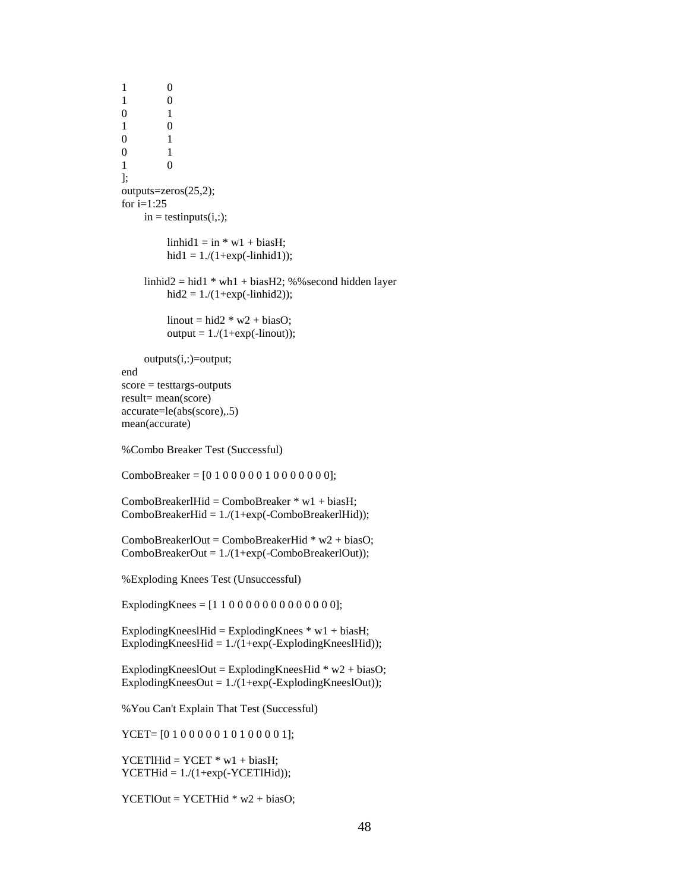1 0 1 0 0 1 1 0 0 1 0 1 1 0 ]; outputs=zeros(25,2); for  $i=1:25$  $in = testinputs(i,:);$  $\text{linhid1} = \text{in} * \text{w1} + \text{biasH};$ hid $1 = 1./(1 + exp(-\text{linkid1}));$ linhid2 = hid1  $*$  wh1 + biasH2; %% second hidden layer hid2 =  $1/(1 + exp(-\text{linkid2}))$ ; linout = hid2  $*$  w2 + biasO; output =  $1/(1+exp(-linout))$ ; outputs(i,:)=output; end score = testtargs-outputs result= mean(score) accurate=le(abs(score),.5) mean(accurate) %Combo Breaker Test (Successful) ComboBreaker = [0 1 0 0 0 0 0 1 0 0 0 0 0 0 0]; ComboBreakerlHid = ComboBreaker \* w1 + biasH;  $ComboBreakerHid = 1/(1+exp(-ComboBreakerlHid));$ ComboBreakerlOut = ComboBreakerHid  $*$  w2 + biasO; ComboBreakerOut = 1./(1+exp(-ComboBreakerlOut)); %Exploding Knees Test (Unsuccessful) ExplodingKnees =  $[1 1 0 0 0 0 0 0 0 0 0 0 0 0]$ ; ExplodingKneeslHid = ExplodingKnees  $*$  w1 + biasH; ExplodingKneesHid =  $1/(1+exp(-ExpI)$  = ExplodingKneesIHid)); ExplodingKneeslOut = ExplodingKneesHid  $*$  w2 + biasO; ExplodingKneesOut =  $1/(1+\exp(-ExplodingKnessIOut))$ ; %You Can't Explain That Test (Successful) YCET= [0 1 0 0 0 0 0 1 0 1 0 0 0 0 1];  $YCETlHid = YCET * w1 + biasH;$  $YCETHid = 1./(1+exp(-YCETHid));$ 

 $YCETIOut = YCETHid * w2 + biasO;$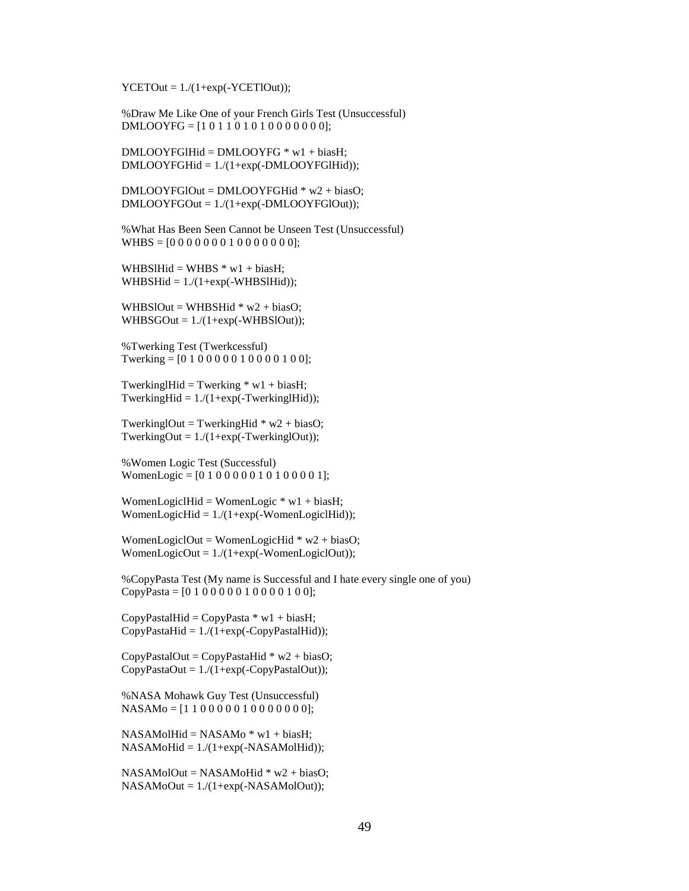$YCETOut = 1./(1+exp(-YCETIOut));$ 

%Draw Me Like One of your French Girls Test (Unsuccessful) DMLOOYFG = [1 0 1 1 0 1 0 1 0 0 0 0 0 0 0];

DMLOOYFGlHid = DMLOOYFG \* w1 + biasH; DMLOOYFGHid = 1./(1+exp(-DMLOOYFGlHid));

DMLOOYFGlOut = DMLOOYFGHid \* w2 + biasO; DMLOOYFGOut = 1./(1+exp(-DMLOOYFGlOut));

%What Has Been Seen Cannot be Unseen Test (Unsuccessful)  $WHBS = [0000000010000000];$ 

WHBSlHid = WHBS  $*$  w1 + biasH; WHBSHid  $= 1./(1 + exp(-WHBS)$ :

WHBSlOut = WHBSHid  $*$  w2 + biasO; WHBSGOut =  $1/(1+exp(-WHBSIOut));$ 

%Twerking Test (Twerkcessful) Twerking = [0 1 0 0 0 0 0 1 0 0 0 0 1 0 0];

TwerkinglHid = Twerking  $*$  w1 + biasH; TwerkingHid =  $1/(1 + exp(-TwerkingHHid))$ ;

TwerkinglOut = TwerkingHid  $*$  w2 + biasO; TwerkingOut =  $1/(1 + exp(-Twerking)Out)$ ;

%Women Logic Test (Successful) WomenLogic =  $[0 1 0 0 0 0 0 1 0 1 0 0 0 0 1]$ ;

WomenLogiclHid = WomenLogic  $*$  w1 + biasH; WomenLogicHid =  $1/(1+exp(-WomenLogicalHid))$ ;

WomenLogiclOut = WomenLogicHid  $*$  w2 + biasO; WomenLogicOut =  $1/(1 + exp(-WomenLogicalOut));$ 

%CopyPasta Test (My name is Successful and I hate every single one of you) CopyPasta =  $[0 1 0 0 0 0 0 1 0 0 0 0 1 0 0]$ ;

 $CopyPastalHid = CopyPasta * w1 + biasH;$  $CopyPastaHid = 1./(1+exp(-CopyPastalHid));$ 

CopyPastalOut = CopyPastaHid  $*$  w2 + biasO;  $CopyPastaOut = 1./(1+exp(-CopyPastalOut));$ 

%NASA Mohawk Guy Test (Unsuccessful) NASAMo = [1 1 0 0 0 0 0 1 0 0 0 0 0 0 0];

 $NASAMolHid = NASAMo * w1 + biasH;$  $NASAMoHid = 1./(1+exp(-NASAMoHid));$ 

NASAMolOut = NASAMoHid \* w2 + biasO;  $NASAMoOut = 1./(1+exp(-NASAMoIOut));$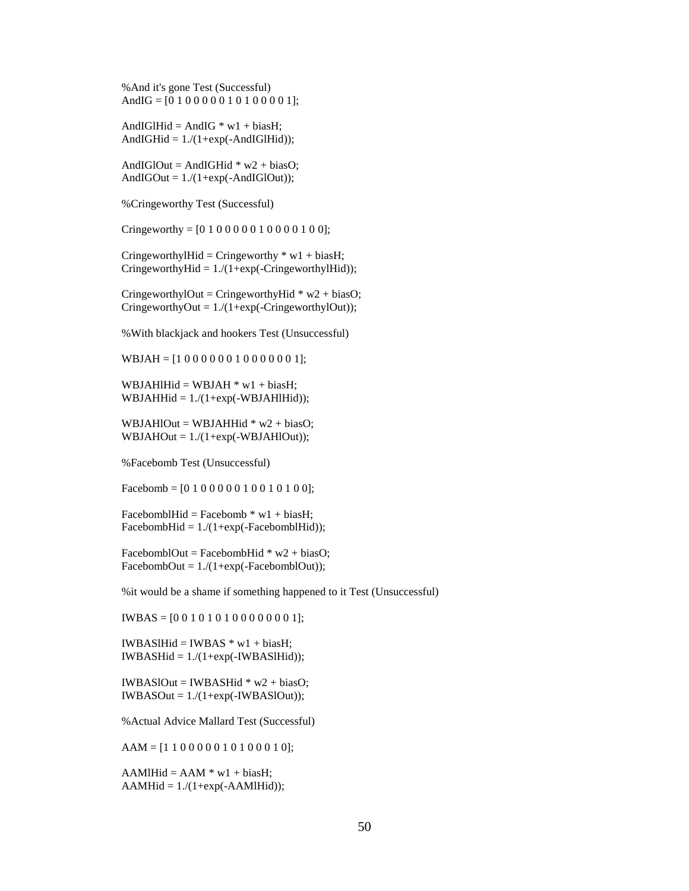%And it's gone Test (Successful) AndIG =  $[0 1 0 0 0 0 0 1 0 1 0 0 0 0 1]$ ;

AndIGlHid = AndIG  $*$  w1 + biasH; AndIGH $id = 1/(1 + exp(-AndIGIHid))$ ;

AndIGlOut = AndIGHid  $*$  w2 + biasO; AndIGOut  $= 1/(1+\exp(-AndIGIOut))$ ;

%Cringeworthy Test (Successful)

Cringeworthy =  $[0 1 0 0 0 0 0 1 0 0 0 0 1 0 0]$ ;

CringeworthylHid = Cringeworthy  $*$  w1 + biasH; CringeworthyHid =  $1/(1 + exp(-C)$ -CringeworthyIHid);

CringeworthylOut = CringeworthyHid  $*$  w2 + biasO; CringeworthyOut =  $1/(1+exp(-C)$ ringeworthyIOut));

%With blackjack and hookers Test (Unsuccessful)

WBJAH = [1 0 0 0 0 0 0 1 0 0 0 0 0 0 1];

WBJAHlHid = WBJAH  $*$  w1 + biasH; WBJAHHid  $= 1./(1 + exp(-WBJAHHid))$ ;

WBJAHlOut = WBJAHHid  $*$  w2 + biasO; WBJAHOut  $= 1./(1 + exp(-WBJAHIOut));$ 

%Facebomb Test (Unsuccessful)

Facebomb =  $[0 1 0 0 0 0 0 1 0 0 1 0 1 0 0]$ ;

FacebomblHid = Facebomb  $*$  w1 + biasH; FacebombHid =  $1/(1+exp(-Face bombHHid));$ 

FacebomblOut = FacebombHid  $*$  w2 + biasO; FacebombOut =  $1/(1+exp(-Face bombIOut));$ 

%it would be a shame if something happened to it Test (Unsuccessful)

IWBAS = [0 0 1 0 1 0 1 0 0 0 0 0 0 0 1];

IWBASlHid = IWBAS  $*$  w1 + biasH;  $IWBASHid = 1./(1+exp(-IWBAS1Hid));$ 

 $IWBASIOut = IWBASHid * w2 + biasO;$  $IWBASOut = 1./(1+exp(-IWBASIOut));$ 

%Actual Advice Mallard Test (Successful)

 $AAM = [1 1 0 0 0 0 0 1 0 1 0 0 0 1 0];$ 

 $AAMlHid = AAM * w1 + biasH;$  $AAMHid = 1./(1+exp(-AAM1Hid));$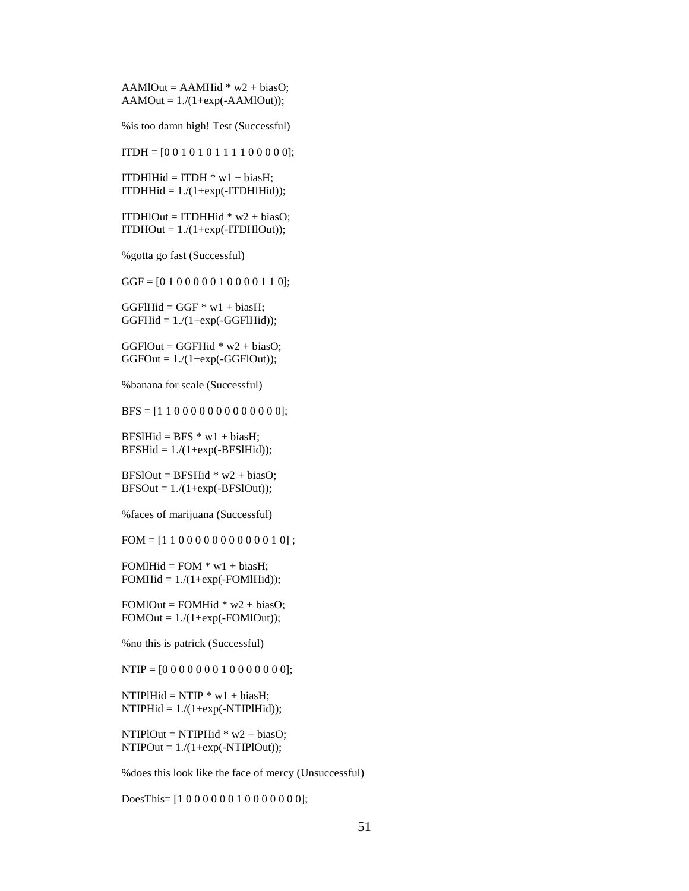$AAMIOut = AAMHid * w2 + biasO;$  $AAMOut = 1/(1+exp(-AAMIOut))$ ;

%is too damn high! Test (Successful)

 $ITDH = [0 0 1 0 1 0 1 1 1 1 0 0 0 0 0];$ 

ITDHIHid = ITDH  $*$  w1 + biasH;  $ITDHHid = 1./(1+exp(-ITDHIHid));$ 

ITDHIOut = ITDHHid  $*$  w2 + biasO;  $ITDHOut = 1./(1+exp(-ITDHIOut));$ 

%gotta go fast (Successful)

GGF = [0 1 0 0 0 0 0 1 0 0 0 0 1 1 0];

 $GGF1Hid = GGF * w1 + biasH;$  $GGFHid = 1./(1+exp(-GGFHid))$ ;

 $GGF1Out = GGFHid * w2 + biasO;$  $GGFOut = 1./(1+exp(-GGFIOut));$ 

%banana for scale (Successful)

 $BFS = [1 1 0 0 0 0 0 0 0 0 0 0 0 0]$ ;

 $BFSlHid = BFS * w1 + biasH$ :  $BFSHid = 1/(1+exp(-BFSIHid));$ 

 $BFSIOut = BFSHid * w2 + biasO;$  $BFSOut = 1/(1+exp(-BFSIOut));$ 

%faces of marijuana (Successful)

 $FOM = [1 1 0 0 0 0 0 0 0 0 0 0 0 1 0];$ 

FOMIH $id$  = FOM  $*$  w1 + biasH;  $FOMHid = 1/(1+exp(-FOM1Hid));$ 

FOMIOut = FOMHid  $*$  w2 + biasO;  $FOMOut = 1./(1+exp(-FOMIOut));$ 

%no this is patrick (Successful)

 $NTIP = [0 0 0 0 0 0 0 1 0 0 0 0 0 0]$ ;

NTIPlHid = NTIP  $*$  w1 + biasH;  $NTIPHid = 1./(1+exp(-NTIPHid));$ 

NTIPlOut = NTIPHid  $*$  w2 + biasO;  $NTIPOut = 1./(1+exp(-NTIPIOut));$ 

%does this look like the face of mercy (Unsuccessful)

DoesThis=  $[1 0 0 0 0 0 0 1 0 0 0 0 0 0]$ ;